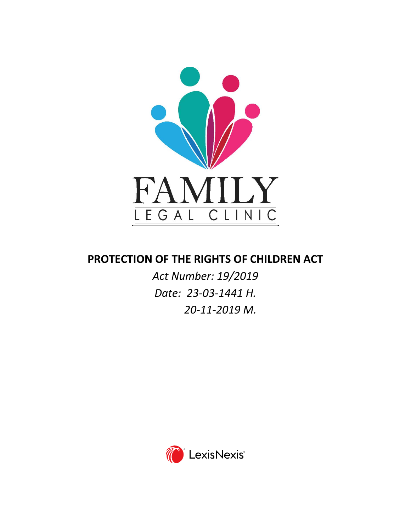

# **PROTECTION OF THE RIGHTS OF CHILDREN ACT**

*Act Number: 19/2019 Date: 23-03-1441 H. 20-11-2019 M.*

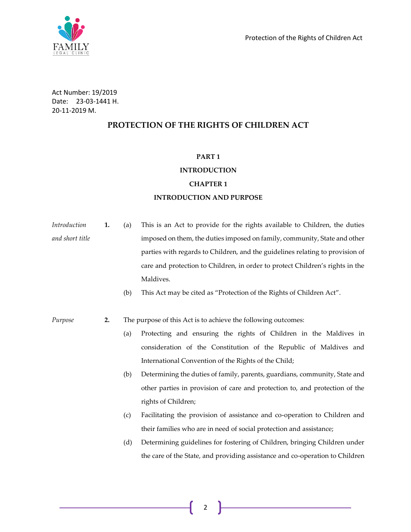Protection of the Rights of Children Act



Act Number: 19/2019 Date: 23-03-1441 H. 20-11-2019 M.

# **PROTECTION OF THE RIGHTS OF CHILDREN ACT**

### **PART 1**

# **INTRODUCTION**

#### **CHAPTER 1**

# **INTRODUCTION AND PURPOSE**

| Introduction    | 1. | (a) | This is an Act to provide for the rights available to Children, the duties    |
|-----------------|----|-----|-------------------------------------------------------------------------------|
| and short title |    |     | imposed on them, the duties imposed on family, community, State and other     |
|                 |    |     | parties with regards to Children, and the guidelines relating to provision of |
|                 |    |     | care and protection to Children, in order to protect Children's rights in the |
|                 |    |     | Maldives.                                                                     |
|                 |    | (b) | This Act may be cited as "Protection of the Rights of Children Act".          |
|                 |    |     |                                                                               |
| Purpose         | 2. |     | The purpose of this Act is to achieve the following outcomes:                 |
|                 |    | (a) | Protecting and ensuring the rights of Children in the Maldives in             |
|                 |    |     | consideration of the Constitution of the Republic of Maldives and             |
|                 |    |     | International Convention of the Rights of the Child;                          |
|                 |    | (b) | Determining the duties of family, parents, guardians, community, State and    |
|                 |    |     | other parties in provision of care and protection to, and protection of the   |
|                 |    |     | rights of Children;                                                           |
|                 |    | (c) | Facilitating the provision of assistance and co-operation to Children and     |
|                 |    |     | their families who are in need of social protection and assistance;           |
|                 |    | (d) | Determining guidelines for fostering of Children, bringing Children under     |
|                 |    |     | the care of the State, and providing assistance and co-operation to Children  |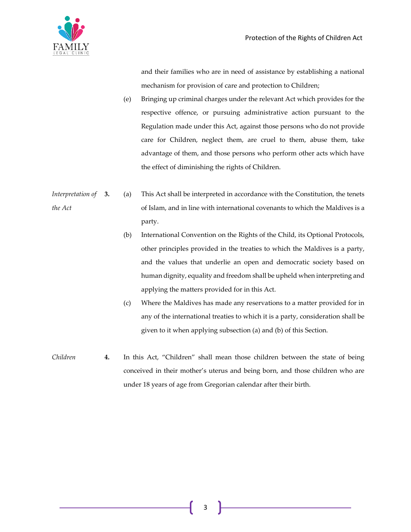

and their families who are in need of assistance by establishing a national mechanism for provision of care and protection to Children;

- (e) Bringing up criminal charges under the relevant Act which provides for the respective offence, or pursuing administrative action pursuant to the Regulation made under this Act, against those persons who do not provide care for Children, neglect them, are cruel to them, abuse them, take advantage of them, and those persons who perform other acts which have the effect of diminishing the rights of Children.
- *Interpretation of the Act* **3.** (a) This Act shall be interpreted in accordance with the Constitution, the tenets of Islam, and in line with international covenants to which the Maldives is a party.
	- (b) International Convention on the Rights of the Child, its Optional Protocols, other principles provided in the treaties to which the Maldives is a party, and the values that underlie an open and democratic society based on human dignity, equality and freedom shall be upheld when interpreting and applying the matters provided for in this Act.
	- (c) Where the Maldives has made any reservations to a matter provided for in any of the international treaties to which it is a party, consideration shall be given to it when applying subsection (a) and (b) of this Section.
- *Children* **4.** In this Act, "Children" shall mean those children between the state of being conceived in their mother's uterus and being born, and those children who are under 18 years of age from Gregorian calendar after their birth.

3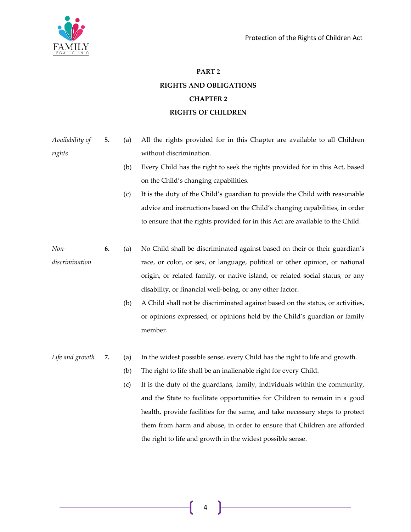

# **PART 2 RIGHTS AND OBLIGATIONS CHAPTER 2 RIGHTS OF CHILDREN**

- *Availability of rights* **5.** (a) All the rights provided for in this Chapter are available to all Children without discrimination.
	- (b) Every Child has the right to seek the rights provided for in this Act, based on the Child's changing capabilities.
	- (c) It is the duty of the Child's guardian to provide the Child with reasonable advice and instructions based on the Child's changing capabilities, in order to ensure that the rights provided for in this Act are available to the Child.
- *Nondiscrimination* **6.** (a) No Child shall be discriminated against based on their or their guardian's race, or color, or sex, or language, political or other opinion, or national origin, or related family, or native island, or related social status, or any disability, or financial well-being, or any other factor.
	- (b) A Child shall not be discriminated against based on the status, or activities, or opinions expressed, or opinions held by the Child's guardian or family member.
- *Life and growth* **7.** (a) In the widest possible sense, every Child has the right to life and growth.
	- (b) The right to life shall be an inalienable right for every Child.
	- (c) It is the duty of the guardians, family, individuals within the community, and the State to facilitate opportunities for Children to remain in a good health, provide facilities for the same, and take necessary steps to protect them from harm and abuse, in order to ensure that Children are afforded the right to life and growth in the widest possible sense.

4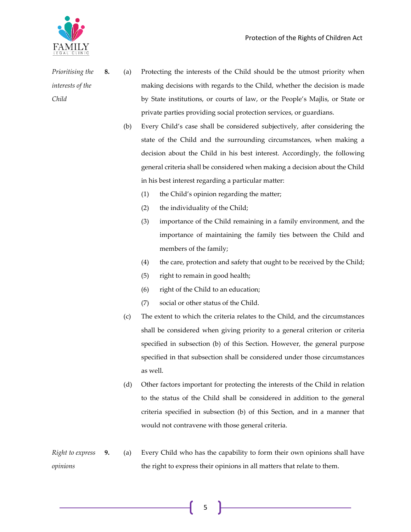

- *Prioritising the interests of the Child* **8.** (a) Protecting the interests of the Child should be the utmost priority when making decisions with regards to the Child, whether the decision is made by State institutions, or courts of law, or the People's Majlis, or State or private parties providing social protection services, or guardians.
	- (b) Every Child's case shall be considered subjectively, after considering the state of the Child and the surrounding circumstances, when making a decision about the Child in his best interest. Accordingly, the following general criteria shall be considered when making a decision about the Child in his best interest regarding a particular matter:
		- (1) the Child's opinion regarding the matter;
		- (2) the individuality of the Child;
		- (3) importance of the Child remaining in a family environment, and the importance of maintaining the family ties between the Child and members of the family;
		- (4) the care, protection and safety that ought to be received by the Child;
		- (5) right to remain in good health;
		- (6) right of the Child to an education;
		- (7) social or other status of the Child.
	- (c) The extent to which the criteria relates to the Child, and the circumstances shall be considered when giving priority to a general criterion or criteria specified in subsection (b) of this Section. However, the general purpose specified in that subsection shall be considered under those circumstances as well.
	- (d) Other factors important for protecting the interests of the Child in relation to the status of the Child shall be considered in addition to the general criteria specified in subsection (b) of this Section, and in a manner that would not contravene with those general criteria.
- *Right to express opinions* **9.** (a) Every Child who has the capability to form their own opinions shall have the right to express their opinions in all matters that relate to them.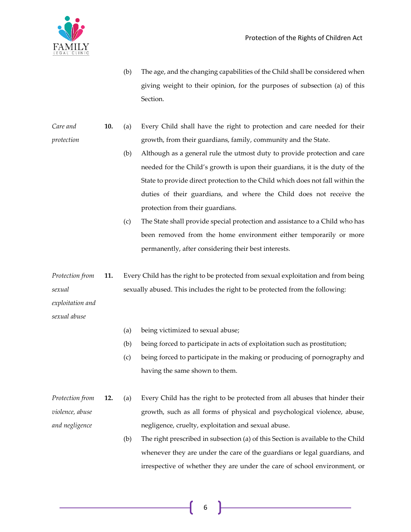

(b) The age, and the changing capabilities of the Child shall be considered when giving weight to their opinion, for the purposes of subsection (a) of this Section.

*Care and protection* **10.** (a) Every Child shall have the right to protection and care needed for their growth, from their guardians, family, community and the State.

- (b) Although as a general rule the utmost duty to provide protection and care needed for the Child's growth is upon their guardians, it is the duty of the State to provide direct protection to the Child which does not fall within the duties of their guardians, and where the Child does not receive the protection from their guardians.
- (c) The State shall provide special protection and assistance to a Child who has been removed from the home environment either temporarily or more permanently, after considering their best interests.

*Protection from sexual*  **11.** Every Child has the right to be protected from sexual exploitation and from being sexually abused. This includes the right to be protected from the following:

*exploitation and sexual abuse*

- (a) being victimized to sexual abuse;
- (b) being forced to participate in acts of exploitation such as prostitution;
- (c) being forced to participate in the making or producing of pornography and having the same shown to them.
- *Protection from violence, abuse and negligence* **12.** (a) Every Child has the right to be protected from all abuses that hinder their growth, such as all forms of physical and psychological violence, abuse, negligence, cruelty, exploitation and sexual abuse.
	- (b) The right prescribed in subsection (a) of this Section is available to the Child whenever they are under the care of the guardians or legal guardians, and irrespective of whether they are under the care of school environment, or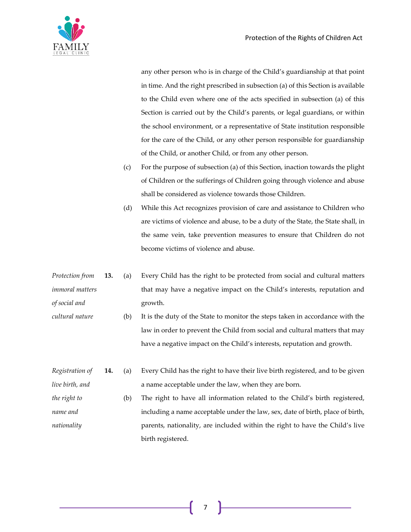

any other person who is in charge of the Child's guardianship at that point in time. And the right prescribed in subsection (a) of this Section is available to the Child even where one of the acts specified in subsection (a) of this Section is carried out by the Child's parents, or legal guardians, or within the school environment, or a representative of State institution responsible for the care of the Child, or any other person responsible for guardianship of the Child, or another Child, or from any other person.

- (c) For the purpose of subsection (a) of this Section, inaction towards the plight of Children or the sufferings of Children going through violence and abuse shall be considered as violence towards those Children.
- (d) While this Act recognizes provision of care and assistance to Children who are victims of violence and abuse, to be a duty of the State, the State shall, in the same vein, take prevention measures to ensure that Children do not become victims of violence and abuse.
- *Protection from immoral matters of social and*  **13.** (a) Every Child has the right to be protected from social and cultural matters that may have a negative impact on the Child's interests, reputation and growth.
- *cultural nature* (b) It is the duty of the State to monitor the steps taken in accordance with the law in order to prevent the Child from social and cultural matters that may have a negative impact on the Child's interests, reputation and growth.
- *Registration of live birth, and*  **14.** (a) Every Child has the right to have their live birth registered, and to be given a name acceptable under the law, when they are born.
- *the right to name and nationality* (b) The right to have all information related to the Child's birth registered, including a name acceptable under the law, sex, date of birth, place of birth, parents, nationality, are included within the right to have the Child's live birth registered.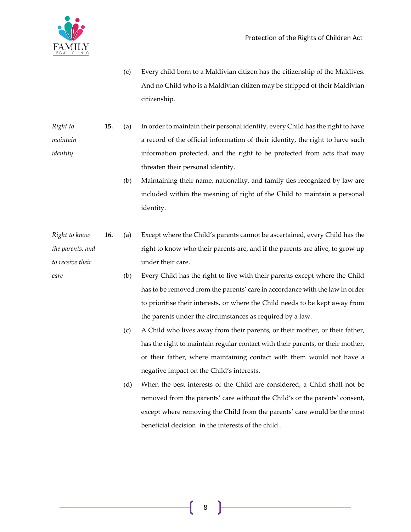

*care*

(c) Every child born to a Maldivian citizen has the citizenship of the Maldives. And no Child who is a Maldivian citizen may be stripped of their Maldivian citizenship.

*Right to maintain identity* **15.** (a) In order to maintain their personal identity, every Child has the right to have a record of the official information of their identity, the right to have such information protected, and the right to be protected from acts that may threaten their personal identity.

> (b) Maintaining their name, nationality, and family ties recognized by law are included within the meaning of right of the Child to maintain a personal identity.

| Right to know    | <b>16.</b> | (a) | Except where the Child's parents cannot be ascertained, every Child has the   |
|------------------|------------|-----|-------------------------------------------------------------------------------|
| the parents, and |            |     | right to know who their parents are, and if the parents are alive, to grow up |
| to receive their |            |     | under their care.                                                             |

- (b) Every Child has the right to live with their parents except where the Child has to be removed from the parents' care in accordance with the law in order to prioritise their interests, or where the Child needs to be kept away from the parents under the circumstances as required by a law.
	- (c) A Child who lives away from their parents, or their mother, or their father, has the right to maintain regular contact with their parents, or their mother, or their father, where maintaining contact with them would not have a negative impact on the Child's interests.

(d) When the best interests of the Child are considered, a Child shall not be removed from the parents' care without the Child's or the parents' consent, except where removing the Child from the parents' care would be the most beneficial decision in the interests of the child .

8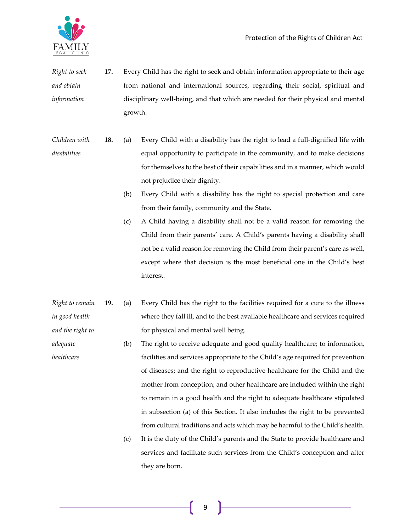

- *Right to seek and obtain information* **17.** Every Child has the right to seek and obtain information appropriate to their age from national and international sources, regarding their social, spiritual and disciplinary well-being, and that which are needed for their physical and mental growth.
- *Children with disabilities* **18.** (a) Every Child with a disability has the right to lead a full-dignified life with equal opportunity to participate in the community, and to make decisions for themselves to the best of their capabilities and in a manner, which would not prejudice their dignity.
	- (b) Every Child with a disability has the right to special protection and care from their family, community and the State.
	- (c) A Child having a disability shall not be a valid reason for removing the Child from their parents' care. A Child's parents having a disability shall not be a valid reason for removing the Child from their parent's care as well, except where that decision is the most beneficial one in the Child's best interest.
- *Right to remain in good health and the right to*  **19.** (a) Every Child has the right to the facilities required for a cure to the illness where they fall ill, and to the best available healthcare and services required for physical and mental well being.
- *adequate healthcare* (b) The right to receive adequate and good quality healthcare; to information, facilities and services appropriate to the Child's age required for prevention of diseases; and the right to reproductive healthcare for the Child and the mother from conception; and other healthcare are included within the right to remain in a good health and the right to adequate healthcare stipulated in subsection (a) of this Section. It also includes the right to be prevented from cultural traditions and acts which may be harmful to the Child's health.
	- (c) It is the duty of the Child's parents and the State to provide healthcare and services and facilitate such services from the Child's conception and after they are born.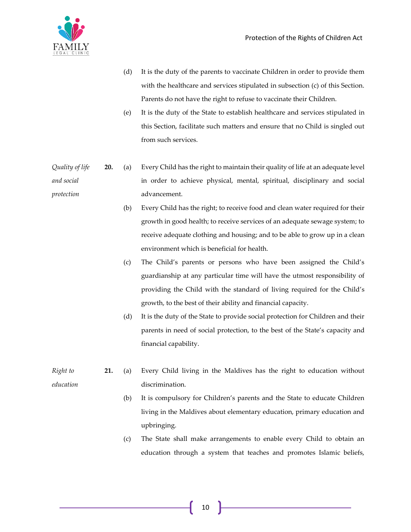- (d) It is the duty of the parents to vaccinate Children in order to provide them with the healthcare and services stipulated in subsection (c) of this Section. Parents do not have the right to refuse to vaccinate their Children.
- (e) It is the duty of the State to establish healthcare and services stipulated in this Section, facilitate such matters and ensure that no Child is singled out from such services.
- *Quality of life and social protection* **20.** (a) Every Child has the right to maintain their quality of life at an adequate level in order to achieve physical, mental, spiritual, disciplinary and social advancement.
	- (b) Every Child has the right; to receive food and clean water required for their growth in good health; to receive services of an adequate sewage system; to receive adequate clothing and housing; and to be able to grow up in a clean environment which is beneficial for health.
	- (c) The Child's parents or persons who have been assigned the Child's guardianship at any particular time will have the utmost responsibility of providing the Child with the standard of living required for the Child's growth, to the best of their ability and financial capacity.
	- (d) It is the duty of the State to provide social protection for Children and their parents in need of social protection, to the best of the State's capacity and financial capability.
	- **21.** (a) Every Child living in the Maldives has the right to education without discrimination.
		- (b) It is compulsory for Children's parents and the State to educate Children living in the Maldives about elementary education, primary education and upbringing.
		- (c) The State shall make arrangements to enable every Child to obtain an education through a system that teaches and promotes Islamic beliefs,

*Right to education*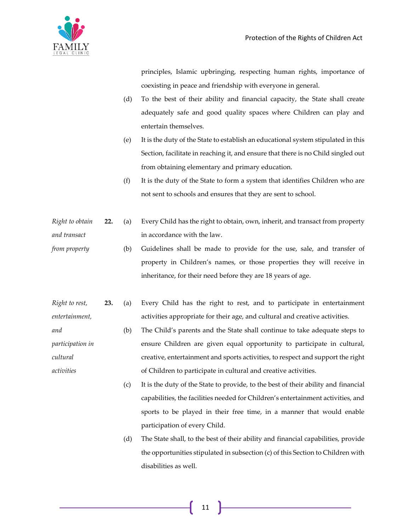

principles, Islamic upbringing, respecting human rights, importance of coexisting in peace and friendship with everyone in general.

- (d) To the best of their ability and financial capacity, the State shall create adequately safe and good quality spaces where Children can play and entertain themselves.
- (e) It is the duty of the State to establish an educational system stipulated in this Section, facilitate in reaching it, and ensure that there is no Child singled out from obtaining elementary and primary education.
- (f) It is the duty of the State to form a system that identifies Children who are not sent to schools and ensures that they are sent to school.
- *Right to obtain and transact*  **22.** (a) Every Child has the right to obtain, own, inherit, and transact from property in accordance with the law.
- *from property* (b) Guidelines shall be made to provide for the use, sale, and transfer of property in Children's names, or those properties they will receive in inheritance, for their need before they are 18 years of age.
- *Right to rest, entertainment,*  **23.** (a) Every Child has the right to rest, and to participate in entertainment activities appropriate for their age, and cultural and creative activities.
- *and participation in cultural activities* (b) The Child's parents and the State shall continue to take adequate steps to ensure Children are given equal opportunity to participate in cultural, creative, entertainment and sports activities, to respect and support the right of Children to participate in cultural and creative activities.
	- (c) It is the duty of the State to provide, to the best of their ability and financial capabilities, the facilities needed for Children's entertainment activities, and sports to be played in their free time, in a manner that would enable participation of every Child.
	- (d) The State shall, to the best of their ability and financial capabilities, provide the opportunities stipulated in subsection (c) of this Section to Children with disabilities as well.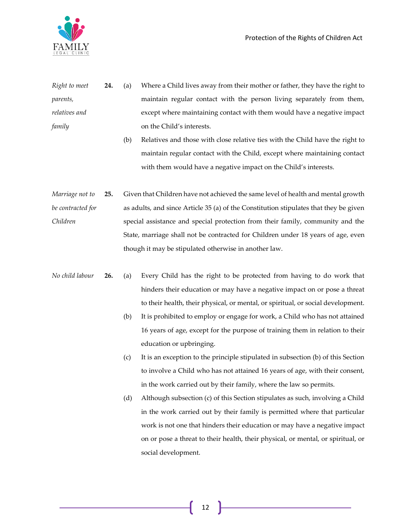

- *Right to meet parents, relatives and family* **24.** (a) Where a Child lives away from their mother or father, they have the right to maintain regular contact with the person living separately from them, except where maintaining contact with them would have a negative impact on the Child's interests.
	- (b) Relatives and those with close relative ties with the Child have the right to maintain regular contact with the Child, except where maintaining contact with them would have a negative impact on the Child's interests.
- *Marriage not to be contracted for Children* **25.** Given that Children have not achieved the same level of health and mental growth as adults, and since Article 35 (a) of the Constitution stipulates that they be given special assistance and special protection from their family, community and the State, marriage shall not be contracted for Children under 18 years of age, even though it may be stipulated otherwise in another law.
- *No child labour* **26.** (a) Every Child has the right to be protected from having to do work that hinders their education or may have a negative impact on or pose a threat to their health, their physical, or mental, or spiritual, or social development.
	- (b) It is prohibited to employ or engage for work, a Child who has not attained 16 years of age, except for the purpose of training them in relation to their education or upbringing.
	- (c) It is an exception to the principle stipulated in subsection (b) of this Section to involve a Child who has not attained 16 years of age, with their consent, in the work carried out by their family, where the law so permits.
	- (d) Although subsection (c) of this Section stipulates as such, involving a Child in the work carried out by their family is permitted where that particular work is not one that hinders their education or may have a negative impact on or pose a threat to their health, their physical, or mental, or spiritual, or social development.

12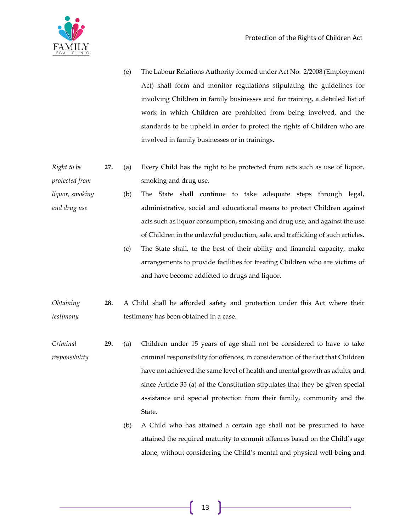

- (e) The Labour Relations Authority formed under Act No. 2/2008 (Employment Act) shall form and monitor regulations stipulating the guidelines for involving Children in family businesses and for training, a detailed list of work in which Children are prohibited from being involved, and the standards to be upheld in order to protect the rights of Children who are involved in family businesses or in trainings.
- *Right to be protected from*  **27.** (a) Every Child has the right to be protected from acts such as use of liquor, smoking and drug use.
- *liquor, smoking and drug use* (b) The State shall continue to take adequate steps through legal, administrative, social and educational means to protect Children against acts such as liquor consumption, smoking and drug use, and against the use of Children in the unlawful production, sale, and trafficking of such articles.
	- (c) The State shall, to the best of their ability and financial capacity, make arrangements to provide facilities for treating Children who are victims of and have become addicted to drugs and liquor.

*Obtaining testimony* **28.** A Child shall be afforded safety and protection under this Act where their testimony has been obtained in a case.

- *Criminal responsibility* **29.** (a) Children under 15 years of age shall not be considered to have to take criminal responsibility for offences, in consideration of the fact that Children have not achieved the same level of health and mental growth as adults, and since Article 35 (a) of the Constitution stipulates that they be given special assistance and special protection from their family, community and the State.
	- (b) A Child who has attained a certain age shall not be presumed to have attained the required maturity to commit offences based on the Child's age alone, without considering the Child's mental and physical well-being and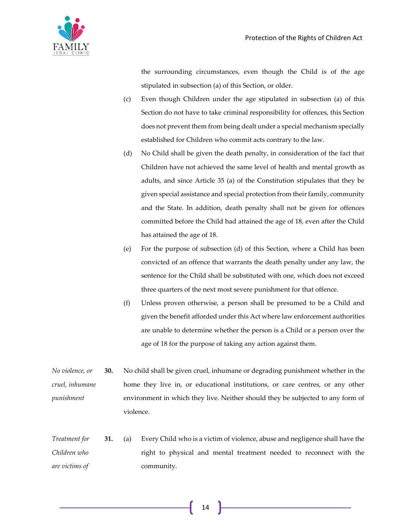the surrounding circumstances, even though the Child is of the age stipulated in subsection (a) of this Section, or older.

- (c) Even though Children under the age stipulated in subsection (a) of this Section do not have to take criminal responsibility for offences, this Section does not prevent them from being dealt under a special mechanism specially established for Children who commit acts contrary to the law.
- (d) No Child shall be given the death penalty, in consideration of the fact that Children have not achieved the same level of health and mental growth as adults, and since Article 35 (a) of the Constitution stipulates that they be given special assistance and special protection from their family, community and the State. In addition, death penalty shall not be given for offences committed before the Child had attained the age of 18, even after the Child has attained the age of 18.
- (e) For the purpose of subsection (d) of this Section, where a Child has been convicted of an offence that warrants the death penalty under any law, the sentence for the Child shall be substituted with one, which does not exceed three quarters of the next most severe punishment for that offence.
- (f) Unless proven otherwise, a person shall be presumed to be a Child and given the benefit afforded under this Act where law enforcement authorities are unable to determine whether the person is a Child or a person over the age of 18 for the purpose of taking any action against them.
- *No violence, or cruel, inhumane punishment* **30.** No child shall be given cruel, inhumane or degrading punishment whether in the home they live in, or educational institutions, or care centres, or any other environment in which they live. Neither should they be subjected to any form of violence.
- *Treatment for Children who are victims of*  **31.** (a) Every Child who is a victim of violence, abuse and negligence shall have the right to physical and mental treatment needed to reconnect with the community.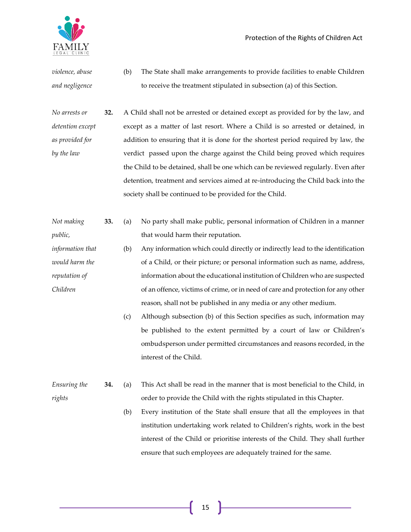

*violence, abuse and negligence* (b) The State shall make arrangements to provide facilities to enable Children to receive the treatment stipulated in subsection (a) of this Section.

*No arrests or detention except as provided for by the law* **32.** A Child shall not be arrested or detained except as provided for by the law, and except as a matter of last resort. Where a Child is so arrested or detained, in addition to ensuring that it is done for the shortest period required by law, the verdict passed upon the charge against the Child being proved which requires the Child to be detained, shall be one which can be reviewed regularly. Even after detention, treatment and services aimed at re-introducing the Child back into the society shall be continued to be provided for the Child.

| Not making |  | 33. (a) No party shall make public, personal information of Children in a manner |
|------------|--|----------------------------------------------------------------------------------|
| public,    |  | that would harm their reputation.                                                |

*information that would harm the reputation of Children* (b) Any information which could directly or indirectly lead to the identification of a Child, or their picture; or personal information such as name, address, information about the educational institution of Children who are suspected of an offence, victims of crime, or in need of care and protection for any other reason, shall not be published in any media or any other medium.

> (c) Although subsection (b) of this Section specifies as such, information may be published to the extent permitted by a court of law or Children's ombudsperson under permitted circumstances and reasons recorded, in the interest of the Child.

| Ensuring the | <b>34.</b> (a) | This Act shall be read in the manner that is most beneficial to the Child, in |
|--------------|----------------|-------------------------------------------------------------------------------|
| rights       |                | order to provide the Child with the rights stipulated in this Chapter.        |

(b) Every institution of the State shall ensure that all the employees in that institution undertaking work related to Children's rights, work in the best interest of the Child or prioritise interests of the Child. They shall further ensure that such employees are adequately trained for the same.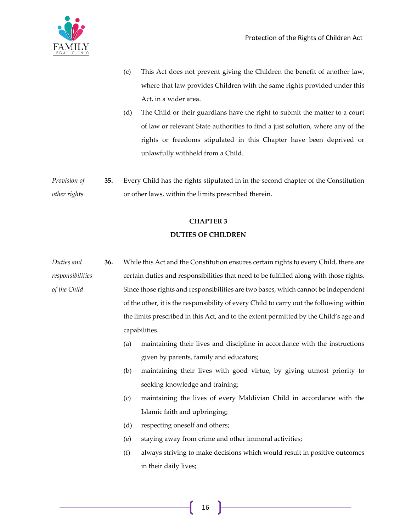- (c) This Act does not prevent giving the Children the benefit of another law, where that law provides Children with the same rights provided under this Act, in a wider area.
- (d) The Child or their guardians have the right to submit the matter to a court of law or relevant State authorities to find a just solution, where any of the rights or freedoms stipulated in this Chapter have been deprived or unlawfully withheld from a Child.

*Provision of other rights* **35.** Every Child has the rights stipulated in in the second chapter of the Constitution or other laws, within the limits prescribed therein.

# **CHAPTER 3 DUTIES OF CHILDREN**

- *Duties and responsibilities of the Child* **36.** While this Act and the Constitution ensures certain rights to every Child, there are certain duties and responsibilities that need to be fulfilled along with those rights. Since those rights and responsibilities are two bases, which cannot be independent of the other, it is the responsibility of every Child to carry out the following within the limits prescribed in this Act, and to the extent permitted by the Child's age and capabilities.
	- (a) maintaining their lives and discipline in accordance with the instructions given by parents, family and educators;
	- (b) maintaining their lives with good virtue, by giving utmost priority to seeking knowledge and training;
	- (c) maintaining the lives of every Maldivian Child in accordance with the Islamic faith and upbringing;
	- (d) respecting oneself and others;
	- (e) staying away from crime and other immoral activities;
	- (f) always striving to make decisions which would result in positive outcomes in their daily lives;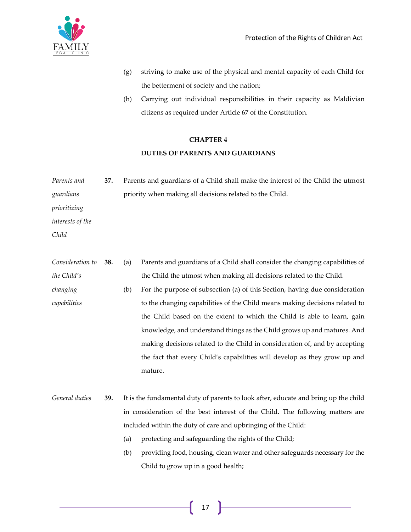

- (g) striving to make use of the physical and mental capacity of each Child for the betterment of society and the nation;
- (h) Carrying out individual responsibilities in their capacity as Maldivian citizens as required under Article 67 of the Constitution.

#### **CHAPTER 4**

### **DUTIES OF PARENTS AND GUARDIANS**

*Parents and guardians prioritizing interests of the Child* **37.** Parents and guardians of a Child shall make the interest of the Child the utmost priority when making all decisions related to the Child. *Consideration to the Child's*  **38.** (a) Parents and guardians of a Child shall consider the changing capabilities of the Child the utmost when making all decisions related to the Child.

- *changing capabilities* (b) For the purpose of subsection (a) of this Section, having due consideration to the changing capabilities of the Child means making decisions related to the Child based on the extent to which the Child is able to learn, gain knowledge, and understand things as the Child grows up and matures. And making decisions related to the Child in consideration of, and by accepting the fact that every Child's capabilities will develop as they grow up and mature.
- *General duties* **39.** It is the fundamental duty of parents to look after, educate and bring up the child in consideration of the best interest of the Child. The following matters are included within the duty of care and upbringing of the Child:
	- (a) protecting and safeguarding the rights of the Child;
	- (b) providing food, housing, clean water and other safeguards necessary for the Child to grow up in a good health;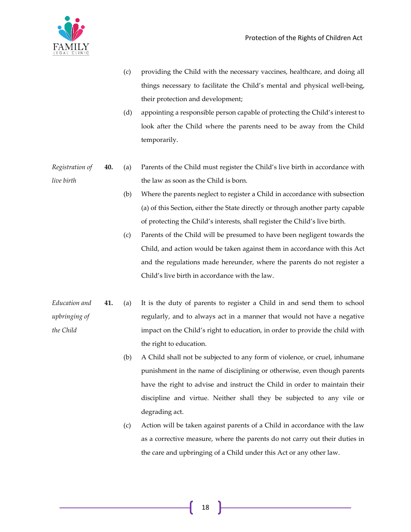

- (c) providing the Child with the necessary vaccines, healthcare, and doing all things necessary to facilitate the Child's mental and physical well-being, their protection and development;
- (d) appointing a responsible person capable of protecting the Child's interest to look after the Child where the parents need to be away from the Child temporarily.
- *Registration of live birth* **40.** (a) Parents of the Child must register the Child's live birth in accordance with the law as soon as the Child is born.
	- (b) Where the parents neglect to register a Child in accordance with subsection (a) of this Section, either the State directly or through another party capable of protecting the Child's interests, shall register the Child's live birth.
	- (c) Parents of the Child will be presumed to have been negligent towards the Child, and action would be taken against them in accordance with this Act and the regulations made hereunder, where the parents do not register a Child's live birth in accordance with the law.
- *Education and upbringing of the Child*  **41.** (a) It is the duty of parents to register a Child in and send them to school regularly, and to always act in a manner that would not have a negative impact on the Child's right to education, in order to provide the child with the right to education.
	- (b) A Child shall not be subjected to any form of violence, or cruel, inhumane punishment in the name of disciplining or otherwise, even though parents have the right to advise and instruct the Child in order to maintain their discipline and virtue. Neither shall they be subjected to any vile or degrading act.
	- (c) Action will be taken against parents of a Child in accordance with the law as a corrective measure, where the parents do not carry out their duties in the care and upbringing of a Child under this Act or any other law.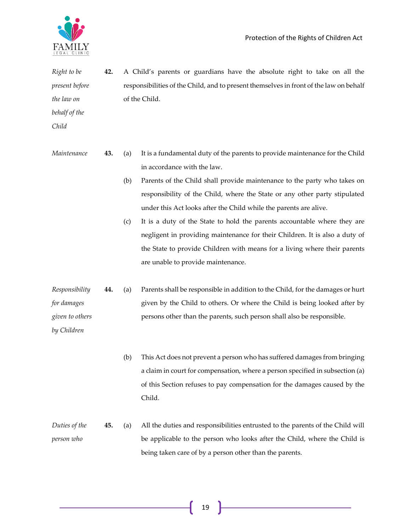

*Child*

- *Right to be present before the law on behalf of the*  **42.** A Child's parents or guardians have the absolute right to take on all the responsibilities of the Child, and to present themselves in front of the law on behalf of the Child.
- *Maintenance* **43.** (a) It is a fundamental duty of the parents to provide maintenance for the Child in accordance with the law.
	- (b) Parents of the Child shall provide maintenance to the party who takes on responsibility of the Child, where the State or any other party stipulated under this Act looks after the Child while the parents are alive.
	- (c) It is a duty of the State to hold the parents accountable where they are negligent in providing maintenance for their Children. It is also a duty of the State to provide Children with means for a living where their parents are unable to provide maintenance.
- *Responsibility for damages given to others by Children* **44.** (a) Parents shall be responsible in addition to the Child, for the damages or hurt given by the Child to others. Or where the Child is being looked after by persons other than the parents, such person shall also be responsible.
	- (b) This Act does not prevent a person who has suffered damages from bringing a claim in court for compensation, where a person specified in subsection (a) of this Section refuses to pay compensation for the damages caused by the Child.
- *Duties of the person who*  **45.** (a) All the duties and responsibilities entrusted to the parents of the Child will be applicable to the person who looks after the Child, where the Child is being taken care of by a person other than the parents.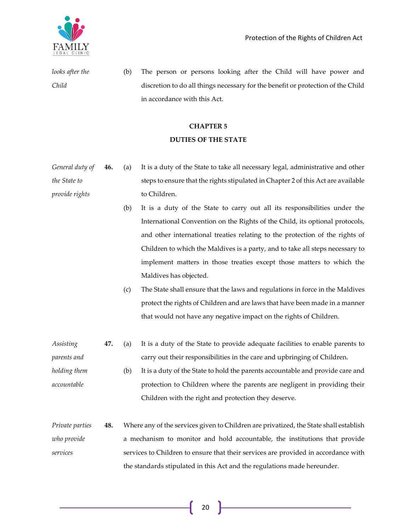

*looks after the Child* (b) The person or persons looking after the Child will have power and discretion to do all things necessary for the benefit or protection of the Child in accordance with this Act.

# **CHAPTER 5 DUTIES OF THE STATE**

- *General duty of the State to provide rights* **46.** (a) It is a duty of the State to take all necessary legal, administrative and other steps to ensure that the rights stipulated in Chapter 2 of this Act are available to Children.
	- (b) It is a duty of the State to carry out all its responsibilities under the International Convention on the Rights of the Child, its optional protocols, and other international treaties relating to the protection of the rights of Children to which the Maldives is a party, and to take all steps necessary to implement matters in those treaties except those matters to which the Maldives has objected.
	- (c) The State shall ensure that the laws and regulations in force in the Maldives protect the rights of Children and are laws that have been made in a manner that would not have any negative impact on the rights of Children.
- *Assisting parents and holding them accountable* **47.** (a) It is a duty of the State to provide adequate facilities to enable parents to carry out their responsibilities in the care and upbringing of Children. (b) It is a duty of the State to hold the parents accountable and provide care and protection to Children where the parents are negligent in providing their
	- Children with the right and protection they deserve.
- *Private parties who provide services* **48.** Where any of the services given to Children are privatized, the State shall establish a mechanism to monitor and hold accountable, the institutions that provide services to Children to ensure that their services are provided in accordance with the standards stipulated in this Act and the regulations made hereunder.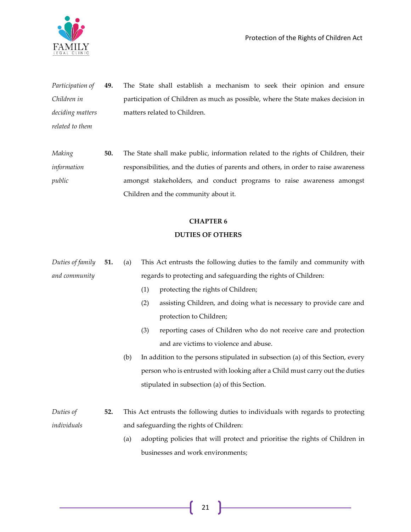

*Participation of Children in deciding matters related to them* **49.** The State shall establish a mechanism to seek their opinion and ensure participation of Children as much as possible, where the State makes decision in matters related to Children.

*Making information public* **50.** The State shall make public, information related to the rights of Children, their responsibilities, and the duties of parents and others, in order to raise awareness amongst stakeholders, and conduct programs to raise awareness amongst Children and the community about it.

## **CHAPTER 6**

#### **DUTIES OF OTHERS**

*Duties of family and community* **51.** (a) This Act entrusts the following duties to the family and community with regards to protecting and safeguarding the rights of Children:

- (1) protecting the rights of Children;
- (2) assisting Children, and doing what is necessary to provide care and protection to Children;
- (3) reporting cases of Children who do not receive care and protection and are victims to violence and abuse.
- (b) In addition to the persons stipulated in subsection (a) of this Section, every person who is entrusted with looking after a Child must carry out the duties stipulated in subsection (a) of this Section.
- *Duties of individuals* **52.** This Act entrusts the following duties to individuals with regards to protecting and safeguarding the rights of Children:
	- (a) adopting policies that will protect and prioritise the rights of Children in businesses and work environments;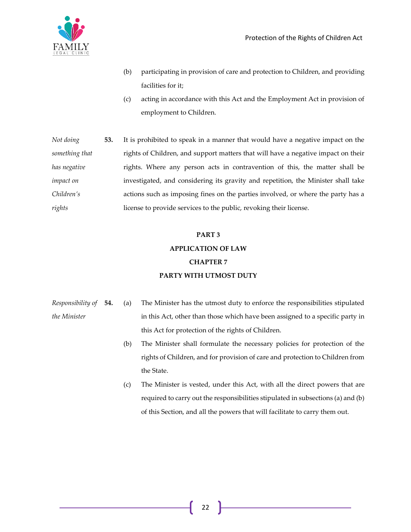- (b) participating in provision of care and protection to Children, and providing facilities for it;
- (c) acting in accordance with this Act and the Employment Act in provision of employment to Children.
- *Not doing something that has negative impact on Children's rights* **53.** It is prohibited to speak in a manner that would have a negative impact on the rights of Children, and support matters that will have a negative impact on their rights. Where any person acts in contravention of this, the matter shall be investigated, and considering its gravity and repetition, the Minister shall take actions such as imposing fines on the parties involved, or where the party has a license to provide services to the public, revoking their license.

### **PART 3**

### **APPLICATION OF LAW**

#### **CHAPTER 7**

### **PARTY WITH UTMOST DUTY**

- *Responsibility of the Minister* **54.** (a) The Minister has the utmost duty to enforce the responsibilities stipulated in this Act, other than those which have been assigned to a specific party in this Act for protection of the rights of Children.
	- (b) The Minister shall formulate the necessary policies for protection of the rights of Children, and for provision of care and protection to Children from the State.
	- (c) The Minister is vested, under this Act, with all the direct powers that are required to carry out the responsibilities stipulated in subsections (a) and (b) of this Section, and all the powers that will facilitate to carry them out.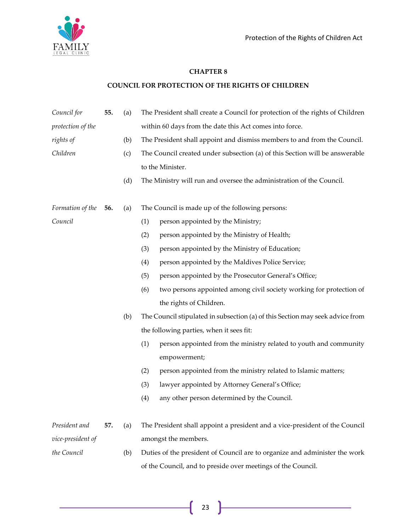

# **CHAPTER 8**

# **COUNCIL FOR PROTECTION OF THE RIGHTS OF CHILDREN**

| Council for       | 55. | (a) | The President shall create a Council for protection of the rights of Children |
|-------------------|-----|-----|-------------------------------------------------------------------------------|
| protection of the |     |     | within 60 days from the date this Act comes into force.                       |
| rights of         |     | (b) | The President shall appoint and dismiss members to and from the Council.      |
| Children          |     | (c) | The Council created under subsection (a) of this Section will be answerable   |
|                   |     |     | to the Minister.                                                              |
|                   |     | (d) | The Ministry will run and oversee the administration of the Council.          |
| Formation of the  | 56. | (a) | The Council is made up of the following persons:                              |
| Council           |     |     | (1)<br>person appointed by the Ministry;                                      |
|                   |     |     | person appointed by the Ministry of Health;<br>(2)                            |
|                   |     |     | (3)<br>person appointed by the Ministry of Education;                         |
|                   |     |     | (4)<br>person appointed by the Maldives Police Service;                       |
|                   |     |     | person appointed by the Prosecutor General's Office;<br>(5)                   |
|                   |     |     | (6)<br>two persons appointed among civil society working for protection of    |
|                   |     |     | the rights of Children.                                                       |
|                   |     | (b) | The Council stipulated in subsection (a) of this Section may seek advice from |
|                   |     |     | the following parties, when it sees fit:                                      |
|                   |     |     | (1)<br>person appointed from the ministry related to youth and community      |
|                   |     |     | empowerment;                                                                  |
|                   |     |     | person appointed from the ministry related to Islamic matters;<br>(2)         |
|                   |     |     | lawyer appointed by Attorney General's Office;<br>(3)                         |
|                   |     |     | any other person determined by the Council.<br>(4)                            |
| President and     |     |     |                                                                               |
|                   | 57. | (a) | The President shall appoint a president and a vice-president of the Council   |
| vice-president of |     |     | amongst the members.                                                          |
| the Council       |     | (b) | Duties of the president of Council are to organize and administer the work    |
|                   |     |     | of the Council, and to preside over meetings of the Council.                  |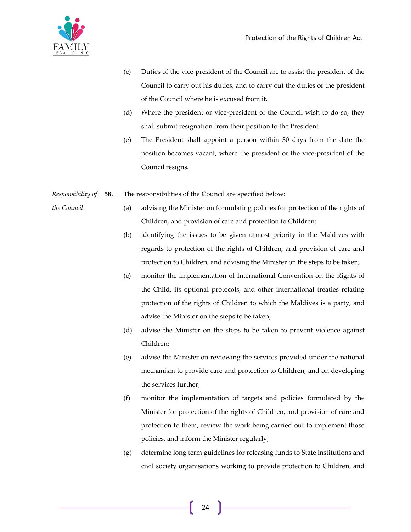

- (c) Duties of the vice-president of the Council are to assist the president of the Council to carry out his duties, and to carry out the duties of the president of the Council where he is excused from it.
- (d) Where the president or vice-president of the Council wish to do so, they shall submit resignation from their position to the President.
- (e) The President shall appoint a person within 30 days from the date the position becomes vacant, where the president or the vice-president of the Council resigns.
- *Responsibility of*  **58.** The responsibilities of the Council are specified below:
- *the Council*
- (a) advising the Minister on formulating policies for protection of the rights of Children, and provision of care and protection to Children;
- (b) identifying the issues to be given utmost priority in the Maldives with regards to protection of the rights of Children, and provision of care and protection to Children, and advising the Minister on the steps to be taken;
- (c) monitor the implementation of International Convention on the Rights of the Child, its optional protocols, and other international treaties relating protection of the rights of Children to which the Maldives is a party, and advise the Minister on the steps to be taken;
- (d) advise the Minister on the steps to be taken to prevent violence against Children;
- (e) advise the Minister on reviewing the services provided under the national mechanism to provide care and protection to Children, and on developing the services further;
- (f) monitor the implementation of targets and policies formulated by the Minister for protection of the rights of Children, and provision of care and protection to them, review the work being carried out to implement those policies, and inform the Minister regularly;
- (g) determine long term guidelines for releasing funds to State institutions and civil society organisations working to provide protection to Children, and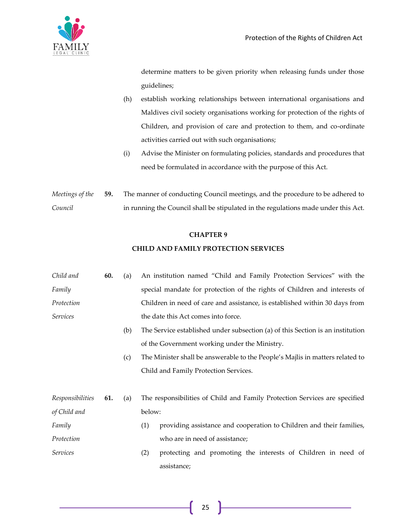

determine matters to be given priority when releasing funds under those guidelines;

- (h) establish working relationships between international organisations and Maldives civil society organisations working for protection of the rights of Children, and provision of care and protection to them, and co-ordinate activities carried out with such organisations;
- (i) Advise the Minister on formulating policies, standards and procedures that need be formulated in accordance with the purpose of this Act.

*Meetings of the Council* **59.** The manner of conducting Council meetings, and the procedure to be adhered to in running the Council shall be stipulated in the regulations made under this Act.

#### **CHAPTER 9**

# **CHILD AND FAMILY PROTECTION SERVICES**

| Child and        | 60. | (a) |        | An institution named "Child and Family Protection Services" with the           |
|------------------|-----|-----|--------|--------------------------------------------------------------------------------|
| Family           |     |     |        | special mandate for protection of the rights of Children and interests of      |
| Protection       |     |     |        | Children in need of care and assistance, is established within 30 days from    |
| Services         |     |     |        | the date this Act comes into force.                                            |
|                  |     | (b) |        | The Service established under subsection (a) of this Section is an institution |
|                  |     |     |        | of the Government working under the Ministry.                                  |
|                  |     | (c) |        | The Minister shall be answerable to the People's Majlis in matters related to  |
|                  |     |     |        | Child and Family Protection Services.                                          |
|                  |     |     |        |                                                                                |
| Responsibilities | 61. | (a) |        | The responsibilities of Child and Family Protection Services are specified     |
| of Child and     |     |     | below: |                                                                                |
| Family           |     |     | (1)    | providing assistance and cooperation to Children and their families,           |
| Protection       |     |     |        | who are in need of assistance;                                                 |
| <i>Services</i>  |     |     | (2)    | protecting and promoting the interests of Children in need of                  |
|                  |     |     |        | assistance;                                                                    |
|                  |     |     |        |                                                                                |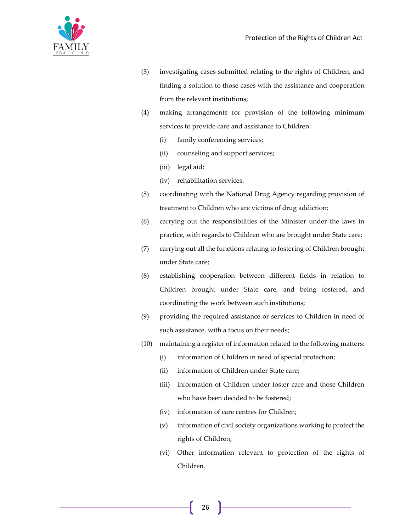

- (3) investigating cases submitted relating to the rights of Children, and finding a solution to those cases with the assistance and cooperation from the relevant institutions;
- (4) making arrangements for provision of the following minimum services to provide care and assistance to Children:
	- (i) family conferencing services;
	- (ii) counseling and support services;
	- (iii) legal aid;
	- (iv) rehabilitation services.
- (5) coordinating with the National Drug Agency regarding provision of treatment to Children who are victims of drug addiction;
- (6) carrying out the responsibilities of the Minister under the laws in practice, with regards to Children who are brought under State care;
- (7) carrying out all the functions relating to fostering of Children brought under State care;
- (8) establishing cooperation between different fields in relation to Children brought under State care, and being fostered, and coordinating the work between such institutions;
- (9) providing the required assistance or services to Children in need of such assistance, with a focus on their needs;
- (10) maintaining a register of information related to the following matters:
	- (i) information of Children in need of special protection;
	- (ii) information of Children under State care;
	- (iii) information of Children under foster care and those Children who have been decided to be fostered;
	- (iv) information of care centres for Children;
	- (v) information of civil society organizations working to protect the rights of Children;
	- (vi) Other information relevant to protection of the rights of Children.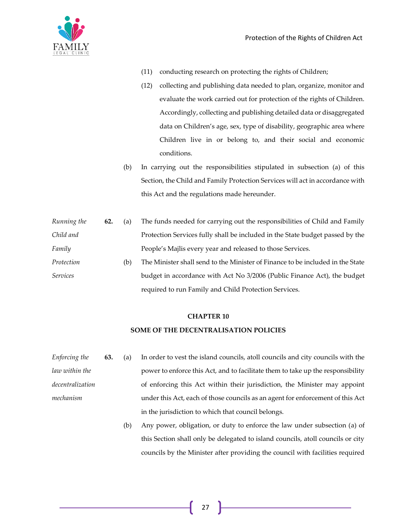- (11) conducting research on protecting the rights of Children;
- (12) collecting and publishing data needed to plan, organize, monitor and evaluate the work carried out for protection of the rights of Children. Accordingly, collecting and publishing detailed data or disaggregated data on Children's age, sex, type of disability, geographic area where Children live in or belong to, and their social and economic conditions.
- (b) In carrying out the responsibilities stipulated in subsection (a) of this Section, the Child and Family Protection Services will act in accordance with this Act and the regulations made hereunder.

| Running the     | 62. | (a) | The funds needed for carrying out the responsibilities of Child and Family     |
|-----------------|-----|-----|--------------------------------------------------------------------------------|
| Child and       |     |     | Protection Services fully shall be included in the State budget passed by the  |
| Family          |     |     | People's Majlis every year and released to those Services.                     |
| Protection      |     | (b) | The Minister shall send to the Minister of Finance to be included in the State |
| <b>Services</b> |     |     | budget in accordance with Act No 3/2006 (Public Finance Act), the budget       |

required to run Family and Child Protection Services.

#### **CHAPTER 10**

#### **SOME OF THE DECENTRALISATION POLICIES**

- *Enforcing the law within the decentralization mechanism* **63.** (a) In order to vest the island councils, atoll councils and city councils with the power to enforce this Act, and to facilitate them to take up the responsibility of enforcing this Act within their jurisdiction, the Minister may appoint under this Act, each of those councils as an agent for enforcement of this Act in the jurisdiction to which that council belongs.
	- (b) Any power, obligation, or duty to enforce the law under subsection (a) of this Section shall only be delegated to island councils, atoll councils or city councils by the Minister after providing the council with facilities required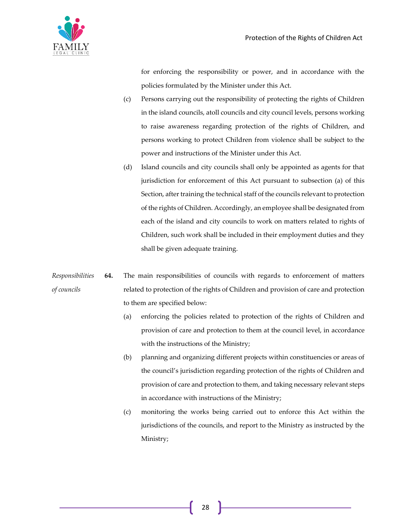

for enforcing the responsibility or power, and in accordance with the policies formulated by the Minister under this Act.

- (c) Persons carrying out the responsibility of protecting the rights of Children in the island councils, atoll councils and city council levels, persons working to raise awareness regarding protection of the rights of Children, and persons working to protect Children from violence shall be subject to the power and instructions of the Minister under this Act.
- (d) Island councils and city councils shall only be appointed as agents for that jurisdiction for enforcement of this Act pursuant to subsection (a) of this Section, after training the technical staff of the councils relevant to protection of the rights of Children. Accordingly, an employee shall be designated from each of the island and city councils to work on matters related to rights of Children, such work shall be included in their employment duties and they shall be given adequate training.
- *Responsibilities of councils* **64.** The main responsibilities of councils with regards to enforcement of matters related to protection of the rights of Children and provision of care and protection to them are specified below:
	- (a) enforcing the policies related to protection of the rights of Children and provision of care and protection to them at the council level, in accordance with the instructions of the Ministry;
	- (b) planning and organizing different projects within constituencies or areas of the council's jurisdiction regarding protection of the rights of Children and provision of care and protection to them, and taking necessary relevant steps in accordance with instructions of the Ministry;
	- (c) monitoring the works being carried out to enforce this Act within the jurisdictions of the councils, and report to the Ministry as instructed by the Ministry;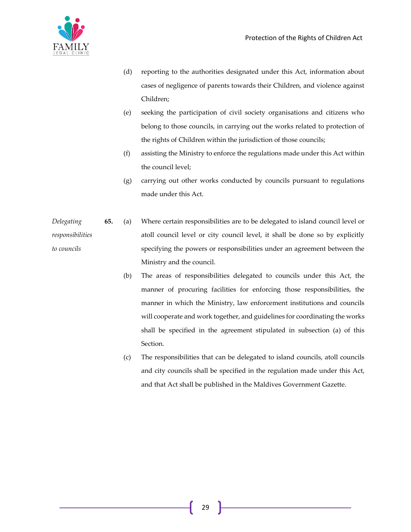

- (d) reporting to the authorities designated under this Act, information about cases of negligence of parents towards their Children, and violence against Children;
- (e) seeking the participation of civil society organisations and citizens who belong to those councils, in carrying out the works related to protection of the rights of Children within the jurisdiction of those councils;
- (f) assisting the Ministry to enforce the regulations made under this Act within the council level;
- (g) carrying out other works conducted by councils pursuant to regulations made under this Act.
- *Delegating responsibilities to councils* **65.** (a) Where certain responsibilities are to be delegated to island council level or atoll council level or city council level, it shall be done so by explicitly specifying the powers or responsibilities under an agreement between the Ministry and the council.
	- (b) The areas of responsibilities delegated to councils under this Act, the manner of procuring facilities for enforcing those responsibilities, the manner in which the Ministry, law enforcement institutions and councils will cooperate and work together, and guidelines for coordinating the works shall be specified in the agreement stipulated in subsection (a) of this Section.
	- (c) The responsibilities that can be delegated to island councils, atoll councils and city councils shall be specified in the regulation made under this Act, and that Act shall be published in the Maldives Government Gazette.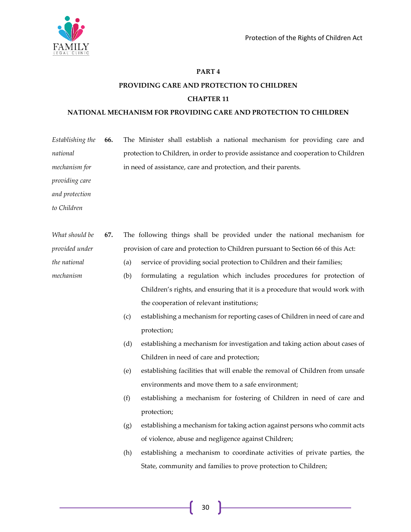

#### **PART 4**

#### **PROVIDING CARE AND PROTECTION TO CHILDREN**

#### **CHAPTER 11**

#### **NATIONAL MECHANISM FOR PROVIDING CARE AND PROTECTION TO CHILDREN**

*Establishing the national mechanism for*  **66.** The Minister shall establish a national mechanism for providing care and protection to Children, in order to provide assistance and cooperation to Children in need of assistance, care and protection, and their parents.

*providing care and protection* 

*to Children*

*the national* 

*mechanism*

- *What should be provided under*  **67.** The following things shall be provided under the national mechanism for provision of care and protection to Children pursuant to Section 66 of this Act:
	- (a) service of providing social protection to Children and their families;
		- (b) formulating a regulation which includes procedures for protection of Children's rights, and ensuring that it is a procedure that would work with the cooperation of relevant institutions;
		- (c) establishing a mechanism for reporting cases of Children in need of care and protection;
		- (d) establishing a mechanism for investigation and taking action about cases of Children in need of care and protection;
		- (e) establishing facilities that will enable the removal of Children from unsafe environments and move them to a safe environment;
		- (f) establishing a mechanism for fostering of Children in need of care and protection;
		- (g) establishing a mechanism for taking action against persons who commit acts of violence, abuse and negligence against Children;
		- (h) establishing a mechanism to coordinate activities of private parties, the State, community and families to prove protection to Children;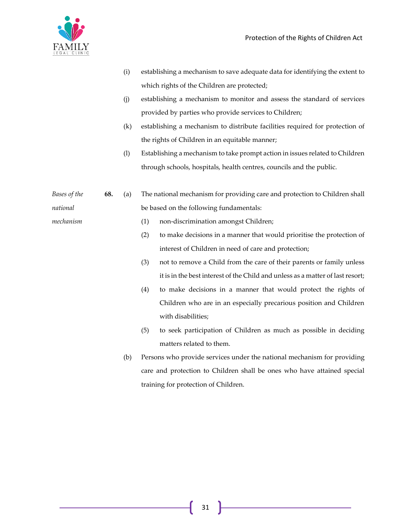

*mechanism*

- (i) establishing a mechanism to save adequate data for identifying the extent to which rights of the Children are protected;
	- (j) establishing a mechanism to monitor and assess the standard of services provided by parties who provide services to Children;
	- (k) establishing a mechanism to distribute facilities required for protection of the rights of Children in an equitable manner;
	- (l) Establishing a mechanism to take prompt action in issues related to Children through schools, hospitals, health centres, councils and the public.
- *Bases of the national*  **68.** (a) The national mechanism for providing care and protection to Children shall be based on the following fundamentals:
	- (1) non-discrimination amongst Children;
	- (2) to make decisions in a manner that would prioritise the protection of interest of Children in need of care and protection;
	- (3) not to remove a Child from the care of their parents or family unless it is in the best interest of the Child and unless as a matter of last resort;
	- (4) to make decisions in a manner that would protect the rights of Children who are in an especially precarious position and Children with disabilities;
	- (5) to seek participation of Children as much as possible in deciding matters related to them.
	- (b) Persons who provide services under the national mechanism for providing care and protection to Children shall be ones who have attained special training for protection of Children.

31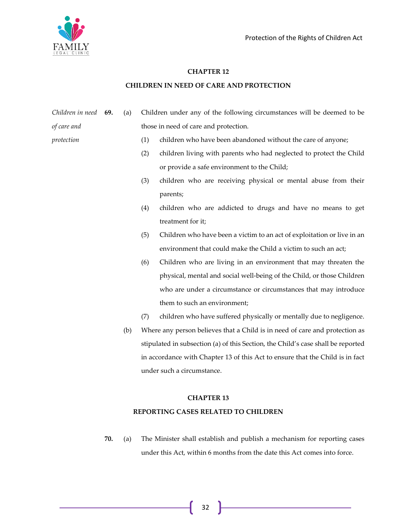

#### **CHAPTER 12**

# **CHILDREN IN NEED OF CARE AND PROTECTION**

| Children in need | 69. | (a) |                                                             | Children under any of the following circumstances will be deemed to be           |
|------------------|-----|-----|-------------------------------------------------------------|----------------------------------------------------------------------------------|
| of care and      |     |     |                                                             | those in need of care and protection.                                            |
| protection       |     |     | (1)                                                         | children who have been abandoned without the care of anyone;                     |
|                  |     |     | (2)                                                         | children living with parents who had neglected to protect the Child              |
|                  |     |     |                                                             | or provide a safe environment to the Child;                                      |
|                  |     |     | (3)                                                         | children who are receiving physical or mental abuse from their                   |
|                  |     |     | parents;                                                    |                                                                                  |
|                  |     | (4) | children who are addicted to drugs and have no means to get |                                                                                  |
|                  |     |     |                                                             | treatment for it;                                                                |
|                  |     |     | (5)                                                         | Children who have been a victim to an act of exploitation or live in an          |
|                  |     |     |                                                             | environment that could make the Child a victim to such an act;                   |
|                  |     |     | (6)                                                         | Children who are living in an environment that may threaten the                  |
|                  |     |     |                                                             | physical, mental and social well-being of the Child, or those Children           |
|                  |     |     |                                                             | who are under a circumstance or circumstances that may introduce                 |
|                  |     |     |                                                             | them to such an environment;                                                     |
|                  |     |     | (7)                                                         | children who have suffered physically or mentally due to negligence.             |
|                  | (b) |     |                                                             | Where any person believes that a Child is in need of care and protection as      |
|                  |     |     |                                                             | stipulated in subsection (a) of this Section, the Child's case shall be reported |
|                  |     |     |                                                             | in accordance with Chapter 13 of this Act to ensure that the Child is in fact    |

#### **CHAPTER 13**

under such a circumstance.

#### **REPORTING CASES RELATED TO CHILDREN**

**70.** (a) The Minister shall establish and publish a mechanism for reporting cases under this Act, within 6 months from the date this Act comes into force.

<u> 1989 - Johann Barbara, martxa a</u>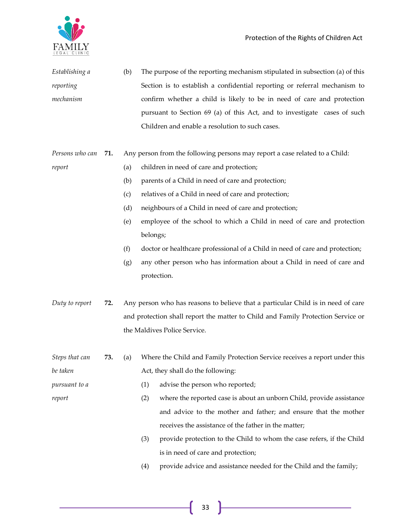

| Establishing a  |     | (b) | The purpose of the reporting mechanism stipulated in subsection (a) of this      |
|-----------------|-----|-----|----------------------------------------------------------------------------------|
| reporting       |     |     | Section is to establish a confidential reporting or referral mechanism to        |
| mechanism       |     |     | confirm whether a child is likely to be in need of care and protection           |
|                 |     |     | pursuant to Section 69 (a) of this Act, and to investigate cases of such         |
|                 |     |     | Children and enable a resolution to such cases.                                  |
|                 |     |     |                                                                                  |
| Persons who can | 71. |     | Any person from the following persons may report a case related to a Child:      |
| report          |     | (a) | children in need of care and protection;                                         |
|                 |     | (b) | parents of a Child in need of care and protection;                               |
|                 |     | (c) | relatives of a Child in need of care and protection;                             |
|                 |     | (d) | neighbours of a Child in need of care and protection;                            |
|                 |     | (e) | employee of the school to which a Child in need of care and protection           |
|                 |     |     | belongs;                                                                         |
|                 |     | (f) | doctor or healthcare professional of a Child in need of care and protection;     |
|                 |     | (g) | any other person who has information about a Child in need of care and           |
|                 |     |     | protection.                                                                      |
|                 |     |     |                                                                                  |
| Duty to report  | 72. |     | Any person who has reasons to believe that a particular Child is in need of care |
|                 |     |     | and protection shall report the matter to Child and Family Protection Service or |
|                 |     |     | the Maldives Police Service.                                                     |
| Steps that can  | 73. | (a) | Where the Child and Family Protection Service receives a report under this       |
| be taken        |     |     | Act, they shall do the following:                                                |
| pursuant to a   |     |     | advise the person who reported;<br>(1)                                           |
| report          |     |     | where the reported case is about an unborn Child, provide assistance<br>(2)      |
|                 |     |     | and advice to the mother and father; and ensure that the mother                  |
|                 |     |     | receives the assistance of the father in the matter;                             |
|                 |     |     | provide protection to the Child to whom the case refers, if the Child<br>(3)     |
|                 |     |     | is in need of care and protection;                                               |
|                 |     |     | provide advice and assistance needed for the Child and the family;<br>(4)        |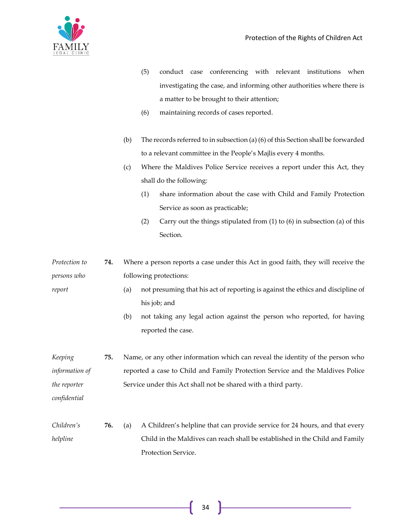(5) conduct case conferencing with relevant institutions when investigating the case, and informing other authorities where there is a matter to be brought to their attention; (6) maintaining records of cases reported. (b) The records referred to in subsection (a) (6) of this Section shall be forwarded to a relevant committee in the People's Majlis every 4 months. (c) Where the Maldives Police Service receives a report under this Act, they shall do the following: (1) share information about the case with Child and Family Protection Service as soon as practicable; (2) Carry out the things stipulated from (1) to (6) in subsection (a) of this Section. *Protection to persons who report* **74.** Where a person reports a case under this Act in good faith, they will receive the following protections: (a) not presuming that his act of reporting is against the ethics and discipline of his job; and (b) not taking any legal action against the person who reported, for having reported the case. *Keeping information of the reporter confidential* **75.** Name, or any other information which can reveal the identity of the person who reported a case to Child and Family Protection Service and the Maldives Police Service under this Act shall not be shared with a third party. *Children's helpline* **76.** (a) A Children's helpline that can provide service for 24 hours, and that every Child in the Maldives can reach shall be established in the Child and Family Protection Service.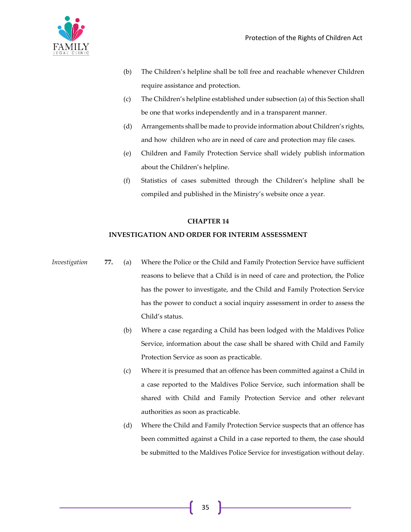

- (b) The Children's helpline shall be toll free and reachable whenever Children require assistance and protection.
- (c) The Children's helpline established under subsection (a) of this Section shall be one that works independently and in a transparent manner.
- (d) Arrangements shall be made to provide information about Children's rights, and how children who are in need of care and protection may file cases.
- (e) Children and Family Protection Service shall widely publish information about the Children's helpline.
- (f) Statistics of cases submitted through the Children's helpline shall be compiled and published in the Ministry's website once a year.

#### **CHAPTER 14**

#### **INVESTIGATION AND ORDER FOR INTERIM ASSESSMENT**

- *Investigation* **77.** (a) Where the Police or the Child and Family Protection Service have sufficient reasons to believe that a Child is in need of care and protection, the Police has the power to investigate, and the Child and Family Protection Service has the power to conduct a social inquiry assessment in order to assess the Child's status.
	- (b) Where a case regarding a Child has been lodged with the Maldives Police Service, information about the case shall be shared with Child and Family Protection Service as soon as practicable.
	- (c) Where it is presumed that an offence has been committed against a Child in a case reported to the Maldives Police Service, such information shall be shared with Child and Family Protection Service and other relevant authorities as soon as practicable.
	- (d) Where the Child and Family Protection Service suspects that an offence has been committed against a Child in a case reported to them, the case should be submitted to the Maldives Police Service for investigation without delay.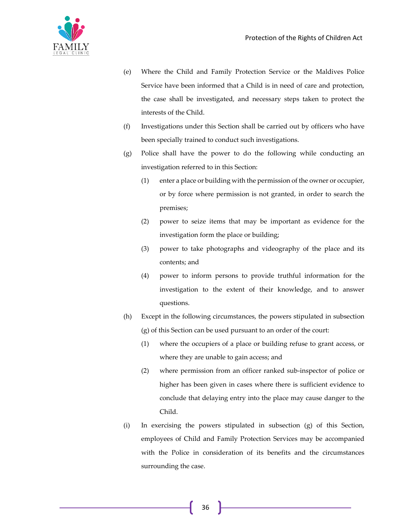

- (e) Where the Child and Family Protection Service or the Maldives Police Service have been informed that a Child is in need of care and protection, the case shall be investigated, and necessary steps taken to protect the interests of the Child.
- (f) Investigations under this Section shall be carried out by officers who have been specially trained to conduct such investigations.
- (g) Police shall have the power to do the following while conducting an investigation referred to in this Section:
	- (1) enter a place or building with the permission of the owner or occupier, or by force where permission is not granted, in order to search the premises;
	- (2) power to seize items that may be important as evidence for the investigation form the place or building;
	- (3) power to take photographs and videography of the place and its contents; and
	- (4) power to inform persons to provide truthful information for the investigation to the extent of their knowledge, and to answer questions.
- (h) Except in the following circumstances, the powers stipulated in subsection (g) of this Section can be used pursuant to an order of the court:
	- (1) where the occupiers of a place or building refuse to grant access, or where they are unable to gain access; and
	- (2) where permission from an officer ranked sub-inspector of police or higher has been given in cases where there is sufficient evidence to conclude that delaying entry into the place may cause danger to the Child.
- (i) In exercising the powers stipulated in subsection (g) of this Section, employees of Child and Family Protection Services may be accompanied with the Police in consideration of its benefits and the circumstances surrounding the case.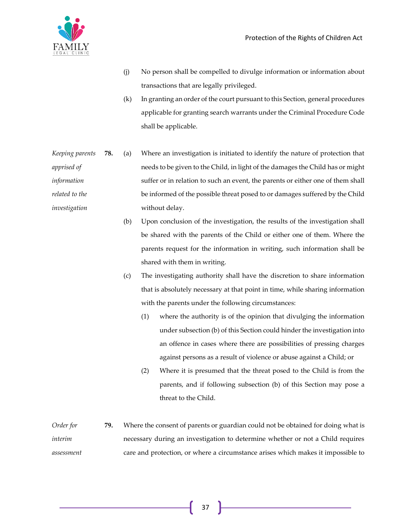

- (j) No person shall be compelled to divulge information or information about transactions that are legally privileged.
- (k) In granting an order of the court pursuant to this Section, general procedures applicable for granting search warrants under the Criminal Procedure Code shall be applicable.
- *Keeping parents apprised of information related to the investigation* **78.** (a) Where an investigation is initiated to identify the nature of protection that needs to be given to the Child, in light of the damages the Child has or might suffer or in relation to such an event, the parents or either one of them shall be informed of the possible threat posed to or damages suffered by the Child without delay.
	- (b) Upon conclusion of the investigation, the results of the investigation shall be shared with the parents of the Child or either one of them. Where the parents request for the information in writing, such information shall be shared with them in writing.
	- (c) The investigating authority shall have the discretion to share information that is absolutely necessary at that point in time, while sharing information with the parents under the following circumstances:
		- (1) where the authority is of the opinion that divulging the information under subsection (b) of this Section could hinder the investigation into an offence in cases where there are possibilities of pressing charges against persons as a result of violence or abuse against a Child; or
		- (2) Where it is presumed that the threat posed to the Child is from the parents, and if following subsection (b) of this Section may pose a threat to the Child.
- *Order for interim assessment* **79.** Where the consent of parents or guardian could not be obtained for doing what is necessary during an investigation to determine whether or not a Child requires care and protection, or where a circumstance arises which makes it impossible to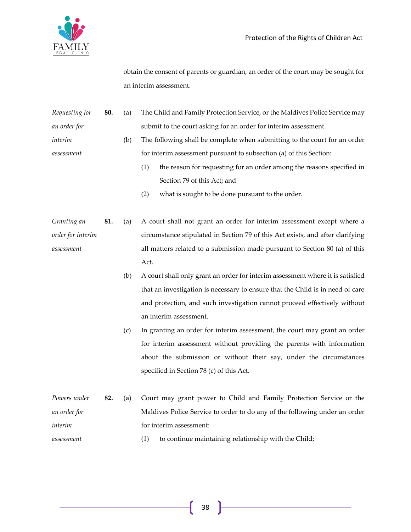

obtain the consent of parents or guardian, an order of the court may be sought for an interim assessment.

| Requesting for | 80. | (a) | The Child and Family Protection Service, or the Maldives Police Service may |
|----------------|-----|-----|-----------------------------------------------------------------------------|
| an order for   |     |     | submit to the court asking for an order for interim assessment.             |
| interim        |     | (b) | The following shall be complete when submitting to the court for an order   |
| assessment     |     |     | for interim assessment pursuant to subsection (a) of this Section:          |

- (1) the reason for requesting for an order among the reasons specified in Section 79 of this Act; and
- (2) what is sought to be done pursuant to the order.

*Granting an order for interim assessment* **81.** (a) A court shall not grant an order for interim assessment except where a circumstance stipulated in Section 79 of this Act exists, and after clarifying all matters related to a submission made pursuant to Section 80 (a) of this Act.

- (b) A court shall only grant an order for interim assessment where it is satisfied that an investigation is necessary to ensure that the Child is in need of care and protection, and such investigation cannot proceed effectively without an interim assessment.
- (c) In granting an order for interim assessment, the court may grant an order for interim assessment without providing the parents with information about the submission or without their say, under the circumstances specified in Section 78 (c) of this Act.

| Powers under |  | 82. (a) Court may grant power to Child and Family Protection Service or the |
|--------------|--|-----------------------------------------------------------------------------|
| an order for |  | Maldives Police Service to order to do any of the following under an order  |
| interim      |  | for interim assessment:                                                     |

*assessment* (1) to continue maintaining relationship with the Child;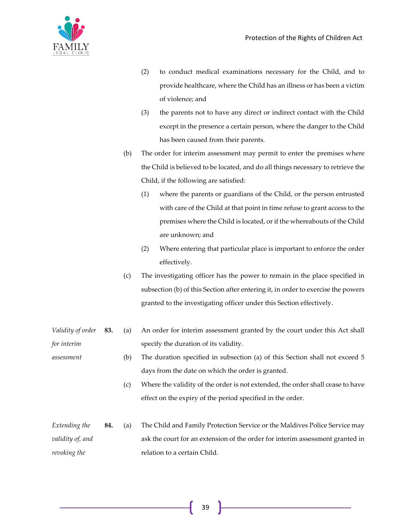

- (2) to conduct medical examinations necessary for the Child, and to provide healthcare, where the Child has an illness or has been a victim of violence; and
- (3) the parents not to have any direct or indirect contact with the Child except in the presence a certain person, where the danger to the Child has been caused from their parents.
- (b) The order for interim assessment may permit to enter the premises where the Child is believed to be located, and do all things necessary to retrieve the Child, if the following are satisfied:
	- (1) where the parents or guardians of the Child, or the person entrusted with care of the Child at that point in time refuse to grant access to the premises where the Child is located, or if the whereabouts of the Child are unknown; and
	- (2) Where entering that particular place is important to enforce the order effectively.
- (c) The investigating officer has the power to remain in the place specified in subsection (b) of this Section after entering it, in order to exercise the powers granted to the investigating officer under this Section effectively.

| Validity of order | 83. | (a) | An order for interim assessment granted by the court under this Act shall      |
|-------------------|-----|-----|--------------------------------------------------------------------------------|
| for interim       |     |     | specify the duration of its validity.                                          |
| assessment        |     | (b) | The duration specified in subsection (a) of this Section shall not exceed 5    |
|                   |     |     | days from the date on which the order is granted.                              |
|                   |     | (c) | Where the validity of the order is not extended, the order shall cease to have |
|                   |     |     | effect on the expiry of the period specified in the order.                     |
|                   |     |     |                                                                                |
| Extending the     | 84. | (a) | The Child and Family Protection Service or the Maldives Police Service may     |
| validity of, and  |     |     | ask the court for an extension of the order for interim assessment granted in  |
| revoking the      |     |     | relation to a certain Child.                                                   |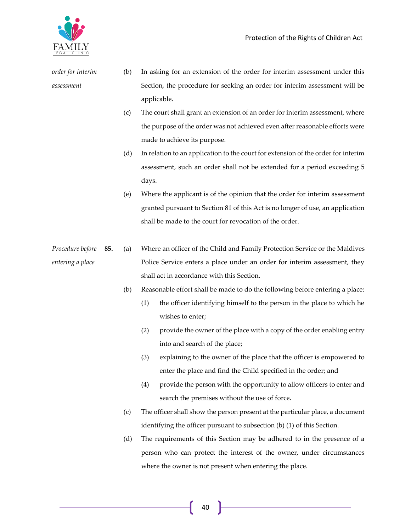

*order for interim assessment* (b) In asking for an extension of the order for interim assessment under this Section, the procedure for seeking an order for interim assessment will be applicable.

- (c) The court shall grant an extension of an order for interim assessment, where the purpose of the order was not achieved even after reasonable efforts were made to achieve its purpose.
- (d) In relation to an application to the court for extension of the order for interim assessment, such an order shall not be extended for a period exceeding 5 days.
- (e) Where the applicant is of the opinion that the order for interim assessment granted pursuant to Section 81 of this Act is no longer of use, an application shall be made to the court for revocation of the order.

*Procedure before entering a place* **85.** (a) Where an officer of the Child and Family Protection Service or the Maldives Police Service enters a place under an order for interim assessment, they shall act in accordance with this Section.

- (b) Reasonable effort shall be made to do the following before entering a place:
	- (1) the officer identifying himself to the person in the place to which he wishes to enter;
	- (2) provide the owner of the place with a copy of the order enabling entry into and search of the place;
	- (3) explaining to the owner of the place that the officer is empowered to enter the place and find the Child specified in the order; and
	- (4) provide the person with the opportunity to allow officers to enter and search the premises without the use of force.
- (c) The officer shall show the person present at the particular place, a document identifying the officer pursuant to subsection (b) (1) of this Section.
- (d) The requirements of this Section may be adhered to in the presence of a person who can protect the interest of the owner, under circumstances where the owner is not present when entering the place.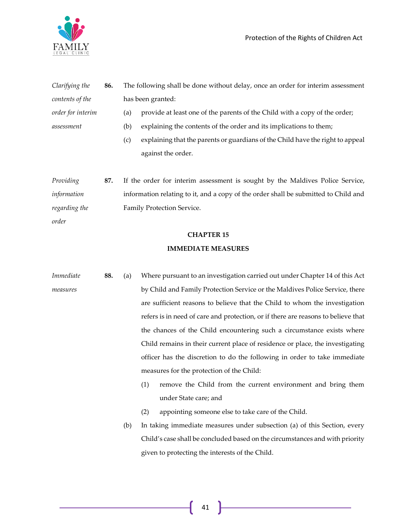

| Clarifying the    | 86. |                   | The following shall be done without delay, once an order for interim assessment     |  |
|-------------------|-----|-------------------|-------------------------------------------------------------------------------------|--|
| contents of the   |     | has been granted: |                                                                                     |  |
| order for interim |     | (a)               | provide at least one of the parents of the Child with a copy of the order;          |  |
| assessment        |     | (b)               | explaining the contents of the order and its implications to them;                  |  |
|                   |     | (c)               | explaining that the parents or guardians of the Child have the right to appeal      |  |
|                   |     |                   | against the order.                                                                  |  |
| Providing         | 87. |                   | If the order for interim assessment is sought by the Maldives Police Service,       |  |
| information       |     |                   | information relating to it, and a copy of the order shall be submitted to Child and |  |
| regarding the     |     |                   | Family Protection Service.                                                          |  |
| order             |     |                   |                                                                                     |  |
|                   |     |                   |                                                                                     |  |

#### **CHAPTER 15**

#### **IMMEDIATE MEASURES**

- *Immediate measures* **88.** (a) Where pursuant to an investigation carried out under Chapter 14 of this Act by Child and Family Protection Service or the Maldives Police Service, there are sufficient reasons to believe that the Child to whom the investigation refers is in need of care and protection, or if there are reasons to believe that the chances of the Child encountering such a circumstance exists where Child remains in their current place of residence or place, the investigating officer has the discretion to do the following in order to take immediate measures for the protection of the Child: (1) remove the Child from the current environment and bring them
	- under State care; and
	- (2) appointing someone else to take care of the Child.
	- (b) In taking immediate measures under subsection (a) of this Section, every Child's case shall be concluded based on the circumstances and with priority given to protecting the interests of the Child.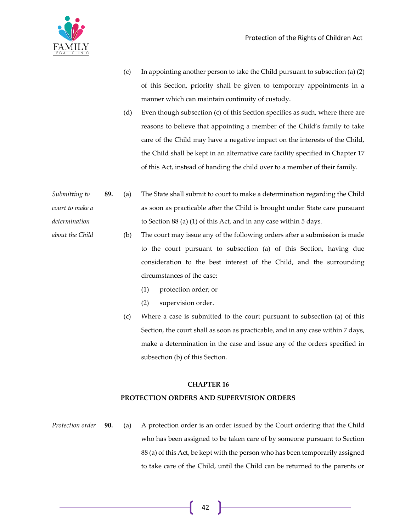*about the Child*

- (c) In appointing another person to take the Child pursuant to subsection (a)  $(2)$ of this Section, priority shall be given to temporary appointments in a manner which can maintain continuity of custody.
- (d) Even though subsection (c) of this Section specifies as such, where there are reasons to believe that appointing a member of the Child's family to take care of the Child may have a negative impact on the interests of the Child, the Child shall be kept in an alternative care facility specified in Chapter 17 of this Act, instead of handing the child over to a member of their family.
- *Submitting to court to make a determination*  **89.** (a) The State shall submit to court to make a determination regarding the Child as soon as practicable after the Child is brought under State care pursuant to Section 88 (a) (1) of this Act, and in any case within 5 days.
	- (b) The court may issue any of the following orders after a submission is made to the court pursuant to subsection (a) of this Section, having due consideration to the best interest of the Child, and the surrounding circumstances of the case:
		- (1) protection order; or
		- (2) supervision order.
		- (c) Where a case is submitted to the court pursuant to subsection (a) of this Section, the court shall as soon as practicable, and in any case within 7 days, make a determination in the case and issue any of the orders specified in subsection (b) of this Section.

#### **CHAPTER 16**

### **PROTECTION ORDERS AND SUPERVISION ORDERS**

*Protection order* **90.** (a) A protection order is an order issued by the Court ordering that the Child who has been assigned to be taken care of by someone pursuant to Section 88 (a) of this Act, be kept with the person who has been temporarily assigned to take care of the Child, until the Child can be returned to the parents or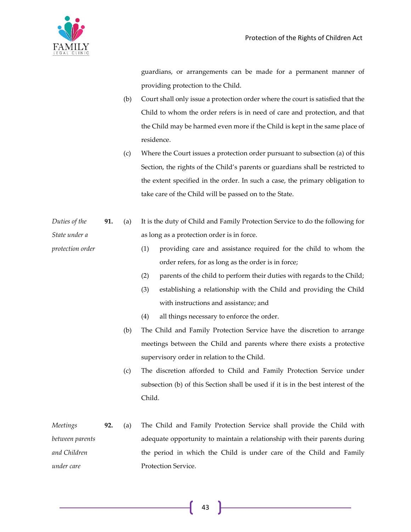guardians, or arrangements can be made for a permanent manner of providing protection to the Child.

- (b) Court shall only issue a protection order where the court is satisfied that the Child to whom the order refers is in need of care and protection, and that the Child may be harmed even more if the Child is kept in the same place of residence.
- (c) Where the Court issues a protection order pursuant to subsection (a) of this Section, the rights of the Child's parents or guardians shall be restricted to the extent specified in the order. In such a case, the primary obligation to take care of the Child will be passed on to the State.
- *Duties of the State under a*  **91.** (a) It is the duty of Child and Family Protection Service to do the following for as long as a protection order is in force.
- *protection order* (1) providing care and assistance required for the child to whom the order refers, for as long as the order is in force;
	- (2) parents of the child to perform their duties with regards to the Child;
	- (3) establishing a relationship with the Child and providing the Child with instructions and assistance; and
	- (4) all things necessary to enforce the order.
	- (b) The Child and Family Protection Service have the discretion to arrange meetings between the Child and parents where there exists a protective supervisory order in relation to the Child.
	- (c) The discretion afforded to Child and Family Protection Service under subsection (b) of this Section shall be used if it is in the best interest of the Child.
- *Meetings between parents and Children under care* **92.** (a) The Child and Family Protection Service shall provide the Child with adequate opportunity to maintain a relationship with their parents during the period in which the Child is under care of the Child and Family Protection Service.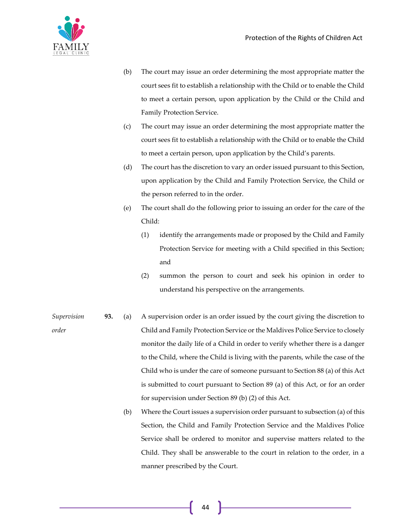

- (b) The court may issue an order determining the most appropriate matter the court sees fit to establish a relationship with the Child or to enable the Child to meet a certain person, upon application by the Child or the Child and Family Protection Service.
- (c) The court may issue an order determining the most appropriate matter the court sees fit to establish a relationship with the Child or to enable the Child to meet a certain person, upon application by the Child's parents.
- (d) The court has the discretion to vary an order issued pursuant to this Section, upon application by the Child and Family Protection Service, the Child or the person referred to in the order.
- (e) The court shall do the following prior to issuing an order for the care of the Child:
	- (1) identify the arrangements made or proposed by the Child and Family Protection Service for meeting with a Child specified in this Section; and
	- (2) summon the person to court and seek his opinion in order to understand his perspective on the arrangements.
- *Supervision order* **93.** (a) A supervision order is an order issued by the court giving the discretion to Child and Family Protection Service or the Maldives Police Service to closely monitor the daily life of a Child in order to verify whether there is a danger to the Child, where the Child is living with the parents, while the case of the Child who is under the care of someone pursuant to Section 88 (a) of this Act is submitted to court pursuant to Section 89 (a) of this Act, or for an order for supervision under Section 89 (b) (2) of this Act.
	- (b) Where the Court issues a supervision order pursuant to subsection (a) of this Section, the Child and Family Protection Service and the Maldives Police Service shall be ordered to monitor and supervise matters related to the Child. They shall be answerable to the court in relation to the order, in a manner prescribed by the Court.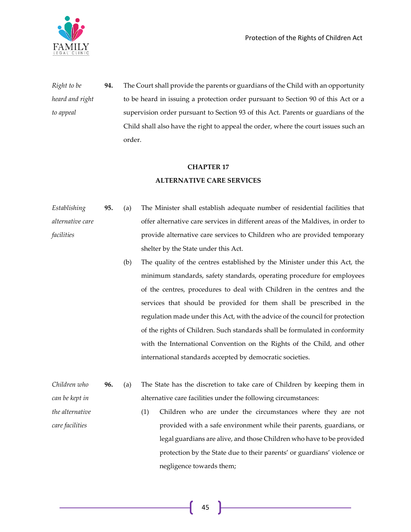



*the alternative* 

*care facilities*

*Right to be heard and right to appeal* **94.** The Court shall provide the parents or guardians of the Child with an opportunity to be heard in issuing a protection order pursuant to Section 90 of this Act or a supervision order pursuant to Section 93 of this Act. Parents or guardians of the Child shall also have the right to appeal the order, where the court issues such an order.

#### **CHAPTER 17**

#### **ALTERNATIVE CARE SERVICES**

- *Establishing alternative care facilities* **95.** (a) The Minister shall establish adequate number of residential facilities that offer alternative care services in different areas of the Maldives, in order to provide alternative care services to Children who are provided temporary shelter by the State under this Act.
	- (b) The quality of the centres established by the Minister under this Act, the minimum standards, safety standards, operating procedure for employees of the centres, procedures to deal with Children in the centres and the services that should be provided for them shall be prescribed in the regulation made under this Act, with the advice of the council for protection of the rights of Children. Such standards shall be formulated in conformity with the International Convention on the Rights of the Child, and other international standards accepted by democratic societies.
- *Children who can be kept in*  **96.** (a) The State has the discretion to take care of Children by keeping them in alternative care facilities under the following circumstances:
	- (1) Children who are under the circumstances where they are not provided with a safe environment while their parents, guardians, or legal guardians are alive, and those Children who have to be provided protection by the State due to their parents' or guardians' violence or negligence towards them;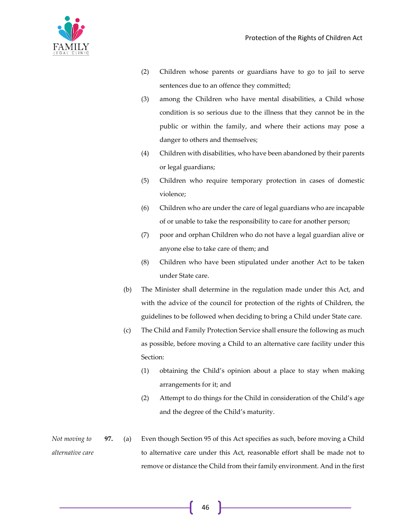

- (2) Children whose parents or guardians have to go to jail to serve sentences due to an offence they committed;
- (3) among the Children who have mental disabilities, a Child whose condition is so serious due to the illness that they cannot be in the public or within the family, and where their actions may pose a danger to others and themselves;
- (4) Children with disabilities, who have been abandoned by their parents or legal guardians;
- (5) Children who require temporary protection in cases of domestic violence;
- (6) Children who are under the care of legal guardians who are incapable of or unable to take the responsibility to care for another person;
- (7) poor and orphan Children who do not have a legal guardian alive or anyone else to take care of them; and
- (8) Children who have been stipulated under another Act to be taken under State care.
- (b) The Minister shall determine in the regulation made under this Act, and with the advice of the council for protection of the rights of Children, the guidelines to be followed when deciding to bring a Child under State care.
- (c) The Child and Family Protection Service shall ensure the following as much as possible, before moving a Child to an alternative care facility under this Section:
	- (1) obtaining the Child's opinion about a place to stay when making arrangements for it; and
	- (2) Attempt to do things for the Child in consideration of the Child's age and the degree of the Child's maturity.
- *Not moving to alternative care*  **97.** (a) Even though Section 95 of this Act specifies as such, before moving a Child to alternative care under this Act, reasonable effort shall be made not to remove or distance the Child from their family environment. And in the first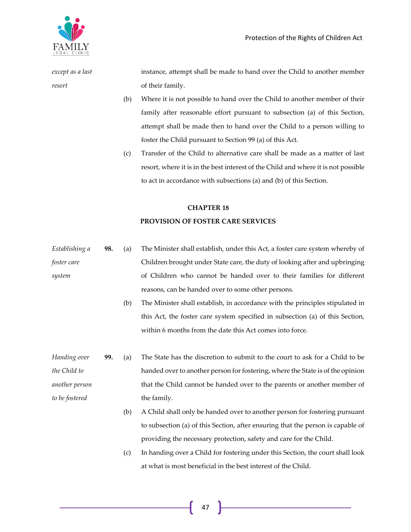

*except as a last resort*

instance, attempt shall be made to hand over the Child to another member of their family.

- (b) Where it is not possible to hand over the Child to another member of their family after reasonable effort pursuant to subsection (a) of this Section, attempt shall be made then to hand over the Child to a person willing to foster the Child pursuant to Section 99 (a) of this Act.
- (c) Transfer of the Child to alternative care shall be made as a matter of last resort, where it is in the best interest of the Child and where it is not possible to act in accordance with subsections (a) and (b) of this Section.

#### **CHAPTER 18**

### **PROVISION OF FOSTER CARE SERVICES**

- *Establishing a foster care system* **98.** (a) The Minister shall establish, under this Act, a foster care system whereby of Children brought under State care, the duty of looking after and upbringing of Children who cannot be handed over to their families for different reasons, can be handed over to some other persons.
	- (b) The Minister shall establish, in accordance with the principles stipulated in this Act, the foster care system specified in subsection (a) of this Section, within 6 months from the date this Act comes into force.
- *Handing over the Child to another person to be fostered* **99.** (a) The State has the discretion to submit to the court to ask for a Child to be handed over to another person for fostering, where the State is of the opinion that the Child cannot be handed over to the parents or another member of the family.
	- (b) A Child shall only be handed over to another person for fostering pursuant to subsection (a) of this Section, after ensuring that the person is capable of providing the necessary protection, safety and care for the Child.
	- (c) In handing over a Child for fostering under this Section, the court shall look at what is most beneficial in the best interest of the Child.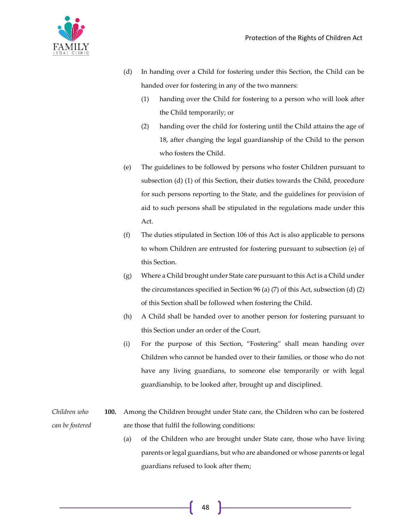

- (d) In handing over a Child for fostering under this Section, the Child can be handed over for fostering in any of the two manners:
	- (1) handing over the Child for fostering to a person who will look after the Child temporarily; or
	- (2) handing over the child for fostering until the Child attains the age of 18, after changing the legal guardianship of the Child to the person who fosters the Child.
- (e) The guidelines to be followed by persons who foster Children pursuant to subsection (d) (1) of this Section, their duties towards the Child, procedure for such persons reporting to the State, and the guidelines for provision of aid to such persons shall be stipulated in the regulations made under this Act.
- (f) The duties stipulated in Section 106 of this Act is also applicable to persons to whom Children are entrusted for fostering pursuant to subsection (e) of this Section.
- (g) Where a Child brought under State care pursuant to this Act is a Child under the circumstances specified in Section 96 (a) (7) of this Act, subsection (d) (2) of this Section shall be followed when fostering the Child.
- (h) A Child shall be handed over to another person for fostering pursuant to this Section under an order of the Court.
- (i) For the purpose of this Section, "Fostering" shall mean handing over Children who cannot be handed over to their families, or those who do not have any living guardians, to someone else temporarily or with legal guardianship, to be looked after, brought up and disciplined.
- *Children who can be fostered* **100.** Among the Children brought under State care, the Children who can be fostered are those that fulfil the following conditions:
	- (a) of the Children who are brought under State care, those who have living parents or legal guardians, but who are abandoned or whose parents or legal guardians refused to look after them;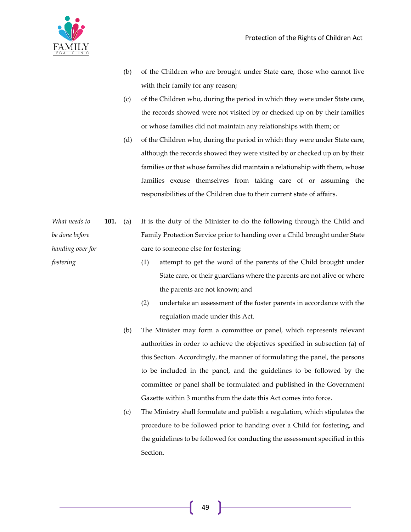

- (b) of the Children who are brought under State care, those who cannot live with their family for any reason;
- (c) of the Children who, during the period in which they were under State care, the records showed were not visited by or checked up on by their families or whose families did not maintain any relationships with them; or
- (d) of the Children who, during the period in which they were under State care, although the records showed they were visited by or checked up on by their families or that whose families did maintain a relationship with them, whose families excuse themselves from taking care of or assuming the responsibilities of the Children due to their current state of affairs.

*What needs to be done before handing over for*  **101.** (a) It is the duty of the Minister to do the following through the Child and Family Protection Service prior to handing over a Child brought under State care to someone else for fostering:

- (1) attempt to get the word of the parents of the Child brought under State care, or their guardians where the parents are not alive or where the parents are not known; and
- (2) undertake an assessment of the foster parents in accordance with the regulation made under this Act.
- (b) The Minister may form a committee or panel, which represents relevant authorities in order to achieve the objectives specified in subsection (a) of this Section. Accordingly, the manner of formulating the panel, the persons to be included in the panel, and the guidelines to be followed by the committee or panel shall be formulated and published in the Government Gazette within 3 months from the date this Act comes into force.
- (c) The Ministry shall formulate and publish a regulation, which stipulates the procedure to be followed prior to handing over a Child for fostering, and the guidelines to be followed for conducting the assessment specified in this Section.

*fostering*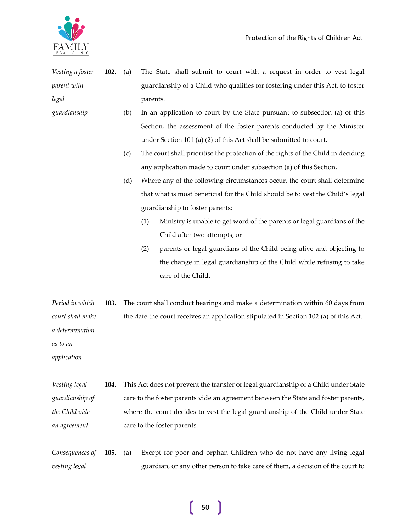

| Vesting a foster | 102. | (a) | The State shall submit to court with a request in order to vest legal         |
|------------------|------|-----|-------------------------------------------------------------------------------|
| parent with      |      |     | guardianship of a Child who qualifies for fostering under this Act, to foster |
| legal            |      |     | parents.                                                                      |
| guardianship     |      | (b) | In an application to court by the State pursuant to subsection (a) of this    |
|                  |      |     | Section, the assessment of the foster parents conducted by the Minister       |

(c) The court shall prioritise the protection of the rights of the Child in deciding any application made to court under subsection (a) of this Section.

under Section 101 (a) (2) of this Act shall be submitted to court.

- (d) Where any of the following circumstances occur, the court shall determine that what is most beneficial for the Child should be to vest the Child's legal guardianship to foster parents:
	- (1) Ministry is unable to get word of the parents or legal guardians of the Child after two attempts; or
	- (2) parents or legal guardians of the Child being alive and objecting to the change in legal guardianship of the Child while refusing to take care of the Child.
- *Period in which court shall make a determination as to an*  **103.** The court shall conduct hearings and make a determination within 60 days from the date the court receives an application stipulated in Section 102 (a) of this Act.

*application*

- *Vesting legal guardianship of the Child vide an agreement* **104.** This Act does not prevent the transfer of legal guardianship of a Child under State care to the foster parents vide an agreement between the State and foster parents, where the court decides to vest the legal guardianship of the Child under State care to the foster parents.
- *Consequences of vesting legal*  **105.** (a) Except for poor and orphan Children who do not have any living legal guardian, or any other person to take care of them, a decision of the court to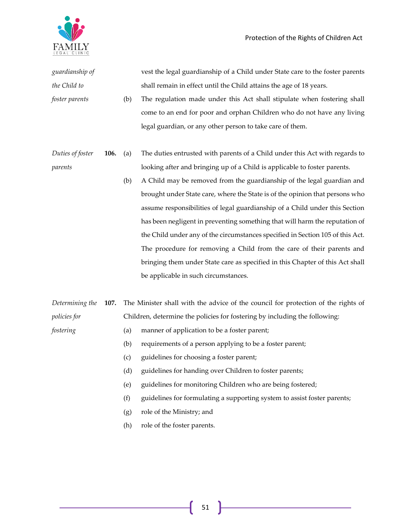

*guardianship of* 

| the Child to          |      |     | shall remain in effect until the Child attains the age of 18 years.          |
|-----------------------|------|-----|------------------------------------------------------------------------------|
| (b)<br>foster parents |      |     | The regulation made under this Act shall stipulate when fostering shall      |
|                       |      |     | come to an end for poor and orphan Children who do not have any living       |
|                       |      |     | legal guardian, or any other person to take care of them.                    |
|                       |      |     |                                                                              |
| Duties of foster      | 106. | (a) | The duties entrusted with parents of a Child under this Act with regards to  |
| parents               |      |     | looking after and bringing up of a Child is applicable to foster parents.    |
|                       |      | (b) | A Child may be removed from the guardianship of the legal guardian and       |
|                       |      |     | brought under State care, where the State is of the opinion that persons who |
|                       |      |     | assume responsibilities of legal guardianship of a Child under this Section  |
|                       |      |     | has been negligent in preventing something that will harm the reputation of  |

has been negligent in preventing something that will harm the reputation of the Child under any of the circumstances specified in Section 105 of this Act. The procedure for removing a Child from the care of their parents and bringing them under State care as specified in this Chapter of this Act shall be applicable in such circumstances.

vest the legal guardianship of a Child under State care to the foster parents

*Determining the policies for*  **107.** The Minister shall with the advice of the council for protection of the rights of Children, determine the policies for fostering by including the following:

- *fostering*
- (a) manner of application to be a foster parent;
- (b) requirements of a person applying to be a foster parent;
- (c) guidelines for choosing a foster parent;
- (d) guidelines for handing over Children to foster parents;
- (e) guidelines for monitoring Children who are being fostered;
- (f) guidelines for formulating a supporting system to assist foster parents;
- (g) role of the Ministry; and
- (h) role of the foster parents.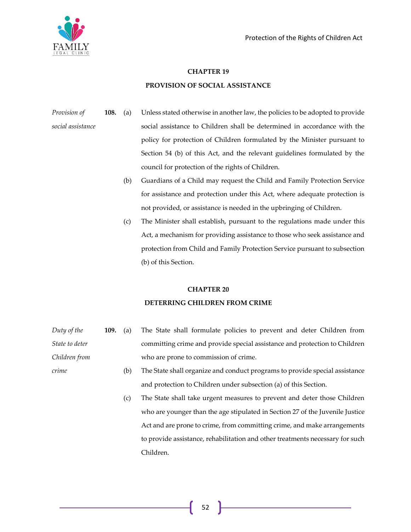

*crime*

# **CHAPTER 19 PROVISION OF SOCIAL ASSISTANCE**

- *Provision of social assistance* **108.** (a) Unless stated otherwise in another law, the policies to be adopted to provide social assistance to Children shall be determined in accordance with the policy for protection of Children formulated by the Minister pursuant to Section 54 (b) of this Act, and the relevant guidelines formulated by the council for protection of the rights of Children.
	- (b) Guardians of a Child may request the Child and Family Protection Service for assistance and protection under this Act, where adequate protection is not provided, or assistance is needed in the upbringing of Children.
	- (c) The Minister shall establish, pursuant to the regulations made under this Act, a mechanism for providing assistance to those who seek assistance and protection from Child and Family Protection Service pursuant to subsection (b) of this Section.

#### **CHAPTER 20**

### **DETERRING CHILDREN FROM CRIME**

| Duty of the    | <b>109.</b> (a) | The State shall formulate policies to prevent and deter Children from      |
|----------------|-----------------|----------------------------------------------------------------------------|
| State to deter |                 | committing crime and provide special assistance and protection to Children |
| Children from  |                 | who are prone to commission of crime.                                      |

- (b) The State shall organize and conduct programs to provide special assistance and protection to Children under subsection (a) of this Section.
- (c) The State shall take urgent measures to prevent and deter those Children who are younger than the age stipulated in Section 27 of the Juvenile Justice Act and are prone to crime, from committing crime, and make arrangements to provide assistance, rehabilitation and other treatments necessary for such Children.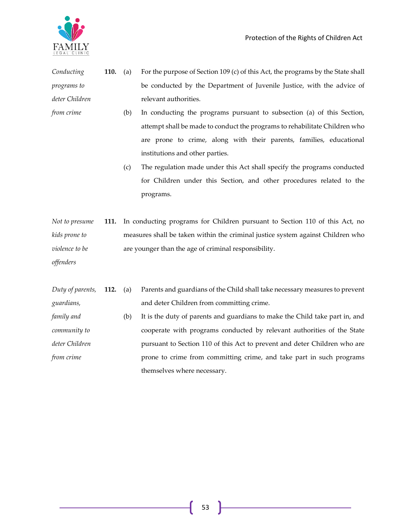

| Conducting       | 110. (a) |     | For the purpose of Section 109 (c) of this Act, the programs by the State shall |  |  |
|------------------|----------|-----|---------------------------------------------------------------------------------|--|--|
| programs to      |          |     | be conducted by the Department of Juvenile Justice, with the advice of          |  |  |
| deter Children   |          |     | relevant authorities.                                                           |  |  |
| from crime       |          | (b) | In conducting the programs pursuant to subsection (a) of this Section,          |  |  |
|                  |          |     | attempt shall be made to conduct the programs to rehabilitate Children who      |  |  |
|                  |          |     | are prone to crime, along with their parents, families, educational             |  |  |
|                  |          |     | institutions and other parties.                                                 |  |  |
|                  |          | (c) | The regulation made under this Act shall specify the programs conducted         |  |  |
|                  |          |     | for Children under this Section, and other procedures related to the            |  |  |
|                  |          |     | programs.                                                                       |  |  |
|                  |          |     |                                                                                 |  |  |
| Not to presume   | 111.     |     | In conducting programs for Children pursuant to Section 110 of this Act, no     |  |  |
| kids prone to    |          |     | measures shall be taken within the criminal justice system against Children who |  |  |
| violence to be   |          |     | are younger than the age of criminal responsibility.                            |  |  |
| offenders        |          |     |                                                                                 |  |  |
|                  |          |     |                                                                                 |  |  |
| Duty of parents, | 112.     | (a) | Parents and guardians of the Child shall take necessary measures to prevent     |  |  |
| guardians,       |          |     | and deter Children from committing crime.                                       |  |  |
| family and       |          | (b) | It is the duty of parents and guardians to make the Child take part in, and     |  |  |
| community to     |          |     | cooperate with programs conducted by relevant authorities of the State          |  |  |
| deter Children   |          |     | pursuant to Section 110 of this Act to prevent and deter Children who are       |  |  |
| from crime       |          |     | prone to crime from committing crime, and take part in such programs            |  |  |
|                  |          |     | themselves where necessary.                                                     |  |  |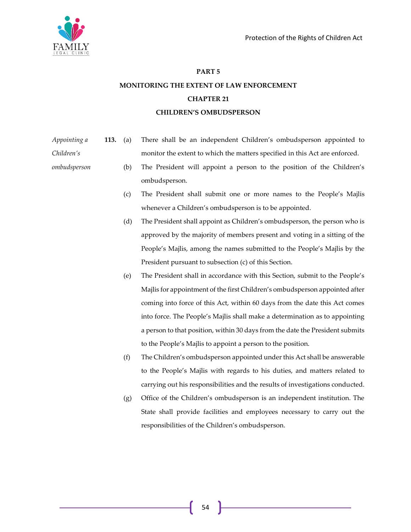

# **PART 5 MONITORING THE EXTENT OF LAW ENFORCEMENT CHAPTER 21 CHILDREN'S OMBUDSPERSON**

| Appointing a | <b>113.</b> (a) | There shall be an independent Children's ombudsperson appointed to          |
|--------------|-----------------|-----------------------------------------------------------------------------|
| Children's   |                 | monitor the extent to which the matters specified in this Act are enforced. |

- *ombudsperson* (b) The President will appoint a person to the position of the Children's ombudsperson.
	- (c) The President shall submit one or more names to the People's Majlis whenever a Children's ombudsperson is to be appointed.
	- (d) The President shall appoint as Children's ombudsperson, the person who is approved by the majority of members present and voting in a sitting of the People's Majlis, among the names submitted to the People's Majlis by the President pursuant to subsection (c) of this Section.
	- (e) The President shall in accordance with this Section, submit to the People's Majlis for appointment of the first Children's ombudsperson appointed after coming into force of this Act, within 60 days from the date this Act comes into force. The People's Majlis shall make a determination as to appointing a person to that position, within 30 days from the date the President submits to the People's Majlis to appoint a person to the position.
	- (f) The Children's ombudsperson appointed under this Act shall be answerable to the People's Majlis with regards to his duties, and matters related to carrying out his responsibilities and the results of investigations conducted.
	- (g) Office of the Children's ombudsperson is an independent institution. The State shall provide facilities and employees necessary to carry out the responsibilities of the Children's ombudsperson.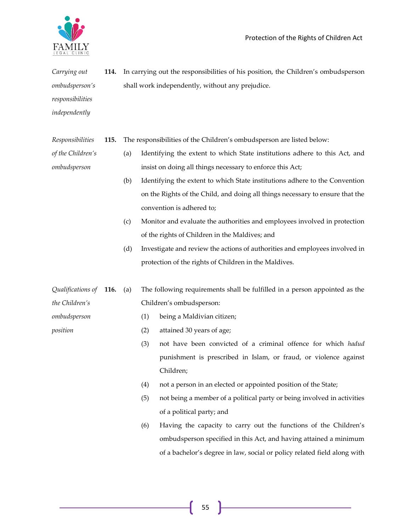

*Carrying out ombudsperson's responsibilities independently* **114.** In carrying out the responsibilities of his position, the Children's ombudsperson shall work independently, without any prejudice.

- *Responsibilities*  **115.** The responsibilities of the Children's ombudsperson are listed below:
- *of the Children's ombudsperson*

*position*

- (a) Identifying the extent to which State institutions adhere to this Act, and insist on doing all things necessary to enforce this Act;
- (b) Identifying the extent to which State institutions adhere to the Convention on the Rights of the Child, and doing all things necessary to ensure that the convention is adhered to;
- (c) Monitor and evaluate the authorities and employees involved in protection of the rights of Children in the Maldives; and
- (d) Investigate and review the actions of authorities and employees involved in protection of the rights of Children in the Maldives.

| Qualifications of <b>116.</b> (a) |  | The following requirements shall be fulfilled in a person appointed as the |
|-----------------------------------|--|----------------------------------------------------------------------------|
| the Children's                    |  | Children's ombudsperson:                                                   |
| ombudsperson                      |  | being a Maldivian citizen;                                                 |

- 
- (2) attained 30 years of age;
- (3) not have been convicted of a criminal offence for which *hadud* punishment is prescribed in Islam, or fraud, or violence against Children;
- (4) not a person in an elected or appointed position of the State;
- (5) not being a member of a political party or being involved in activities of a political party; and
- (6) Having the capacity to carry out the functions of the Children's ombudsperson specified in this Act, and having attained a minimum of a bachelor's degree in law, social or policy related field along with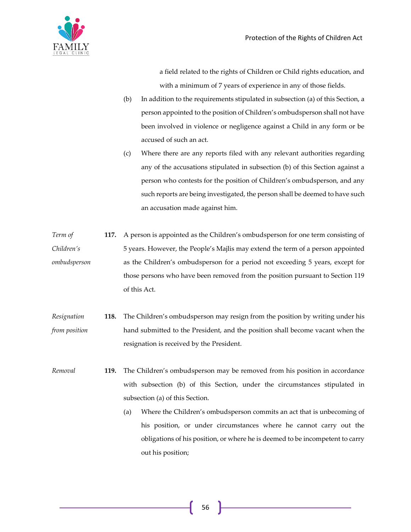

a field related to the rights of Children or Child rights education, and with a minimum of 7 years of experience in any of those fields.

- (b) In addition to the requirements stipulated in subsection (a) of this Section, a person appointed to the position of Children's ombudsperson shall not have been involved in violence or negligence against a Child in any form or be accused of such an act.
- (c) Where there are any reports filed with any relevant authorities regarding any of the accusations stipulated in subsection (b) of this Section against a person who contests for the position of Children's ombudsperson, and any such reports are being investigated, the person shall be deemed to have such an accusation made against him.
- *Term of Children's ombudsperson* **117.** A person is appointed as the Children's ombudsperson for one term consisting of 5 years. However, the People's Majlis may extend the term of a person appointed as the Children's ombudsperson for a period not exceeding 5 years, except for those persons who have been removed from the position pursuant to Section 119 of this Act.

*Resignation from position* **118.** The Children's ombudsperson may resign from the position by writing under his hand submitted to the President, and the position shall become vacant when the resignation is received by the President.

*Removal* **119.** The Children's ombudsperson may be removed from his position in accordance with subsection (b) of this Section, under the circumstances stipulated in subsection (a) of this Section.

> (a) Where the Children's ombudsperson commits an act that is unbecoming of his position, or under circumstances where he cannot carry out the obligations of his position, or where he is deemed to be incompetent to carry out his position;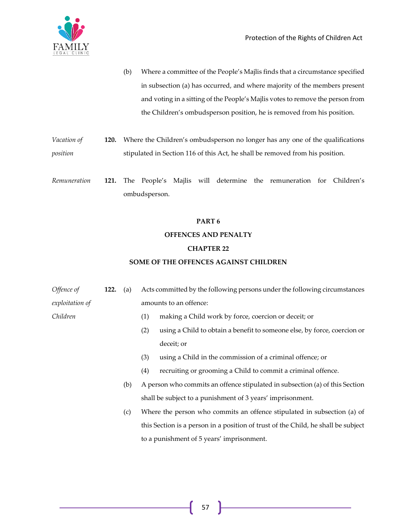(b) Where a committee of the People's Majlis finds that a circumstance specified in subsection (a) has occurred, and where majority of the members present and voting in a sitting of the People's Majlis votes to remove the person from the Children's ombudsperson position, he is removed from his position.

*Vacation of position* **120.** Where the Children's ombudsperson no longer has any one of the qualifications stipulated in Section 116 of this Act, he shall be removed from his position.

*Remuneration* **121.** The People's Majlis will determine the remuneration for Children's ombudsperson.

#### **PART 6**

# **OFFENCES AND PENALTY**

# **CHAPTER 22**

### **SOME OF THE OFFENCES AGAINST CHILDREN**

| Offence of      | 122. | (a) |     | Acts committed by the following persons under the following circumstances         |
|-----------------|------|-----|-----|-----------------------------------------------------------------------------------|
| exploitation of |      |     |     | amounts to an offence:                                                            |
| Children        |      |     | (1) | making a Child work by force, coercion or deceit; or                              |
|                 |      |     | (2) | using a Child to obtain a benefit to someone else, by force, coercion or          |
|                 |      |     |     | deceit; or                                                                        |
|                 |      |     | (3) | using a Child in the commission of a criminal offence; or                         |
|                 |      |     | (4) | recruiting or grooming a Child to commit a criminal offence.                      |
|                 |      | (b) |     | A person who commits an offence stipulated in subsection (a) of this Section      |
|                 |      |     |     | shall be subject to a punishment of 3 years' imprisonment.                        |
|                 |      | (c) |     | Where the person who commits an offence stipulated in subsection (a) of           |
|                 |      |     |     | this Section is a person in a position of trust of the Child, he shall be subject |
|                 |      |     |     | to a punishment of 5 years' imprisonment.                                         |
|                 |      |     |     |                                                                                   |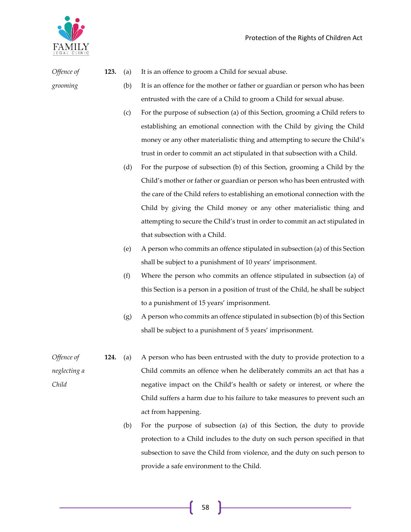



*Offence of* **123.** (a) It is an offence to groom a Child for sexual abuse.

*grooming*

- (b) It is an offence for the mother or father or guardian or person who has been entrusted with the care of a Child to groom a Child for sexual abuse.
- (c) For the purpose of subsection (a) of this Section, grooming a Child refers to establishing an emotional connection with the Child by giving the Child money or any other materialistic thing and attempting to secure the Child's trust in order to commit an act stipulated in that subsection with a Child.
- (d) For the purpose of subsection (b) of this Section, grooming a Child by the Child's mother or father or guardian or person who has been entrusted with the care of the Child refers to establishing an emotional connection with the Child by giving the Child money or any other materialistic thing and attempting to secure the Child's trust in order to commit an act stipulated in that subsection with a Child.
- (e) A person who commits an offence stipulated in subsection (a) of this Section shall be subject to a punishment of 10 years' imprisonment.
- (f) Where the person who commits an offence stipulated in subsection (a) of this Section is a person in a position of trust of the Child, he shall be subject to a punishment of 15 years' imprisonment.
- (g) A person who commits an offence stipulated in subsection (b) of this Section shall be subject to a punishment of 5 years' imprisonment.
- *Offence of neglecting a Child* **124.** (a) A person who has been entrusted with the duty to provide protection to a Child commits an offence when he deliberately commits an act that has a negative impact on the Child's health or safety or interest, or where the Child suffers a harm due to his failure to take measures to prevent such an act from happening.
	- (b) For the purpose of subsection (a) of this Section, the duty to provide protection to a Child includes to the duty on such person specified in that subsection to save the Child from violence, and the duty on such person to provide a safe environment to the Child.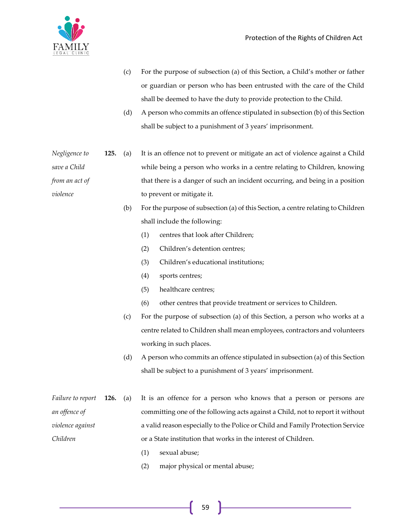- (c) For the purpose of subsection (a) of this Section, a Child's mother or father or guardian or person who has been entrusted with the care of the Child shall be deemed to have the duty to provide protection to the Child.
- (d) A person who commits an offence stipulated in subsection (b) of this Section shall be subject to a punishment of 3 years' imprisonment.
- *Negligence to save a Child from an act of violence* **125.** (a) It is an offence not to prevent or mitigate an act of violence against a Child while being a person who works in a centre relating to Children, knowing that there is a danger of such an incident occurring, and being in a position to prevent or mitigate it.
	- (b) For the purpose of subsection (a) of this Section, a centre relating to Children shall include the following:
		- (1) centres that look after Children;
		- (2) Children's detention centres;
		- (3) Children's educational institutions;
		- (4) sports centres;
		- (5) healthcare centres;
		- (6) other centres that provide treatment or services to Children.
	- (c) For the purpose of subsection (a) of this Section, a person who works at a centre related to Children shall mean employees, contractors and volunteers working in such places.
	- (d) A person who commits an offence stipulated in subsection (a) of this Section shall be subject to a punishment of 3 years' imprisonment.
- *Failure to report an offence of violence against Children* **126.** (a) It is an offence for a person who knows that a person or persons are committing one of the following acts against a Child, not to report it without a valid reason especially to the Police or Child and Family Protection Service or a State institution that works in the interest of Children.
	- (1) sexual abuse;
	- (2) major physical or mental abuse;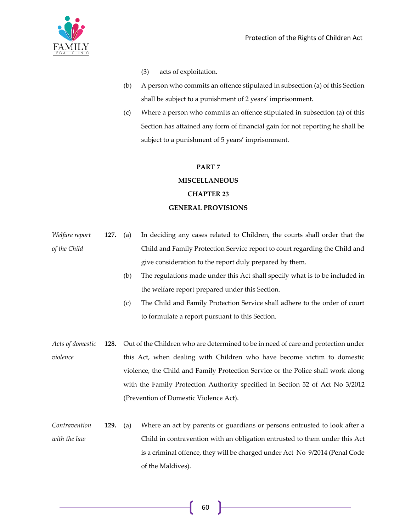

- (3) acts of exploitation.
- (b) A person who commits an offence stipulated in subsection (a) of this Section shall be subject to a punishment of 2 years' imprisonment.
- (c) Where a person who commits an offence stipulated in subsection (a) of this Section has attained any form of financial gain for not reporting he shall be subject to a punishment of 5 years' imprisonment.

#### **PART 7**

# **MISCELLANEOUS CHAPTER 23 GENERAL PROVISIONS**

| Welfare report | 127. (a) |     | In deciding any cases related to Children, the courts shall order that the  |
|----------------|----------|-----|-----------------------------------------------------------------------------|
| of the Child   |          |     | Child and Family Protection Service report to court regarding the Child and |
|                |          |     | give consideration to the report duly prepared by them.                     |
|                |          | (b) | The regulations made under this Act shall specify what is to be included in |
|                |          |     | the welfare report prepared under this Section.                             |

- (c) The Child and Family Protection Service shall adhere to the order of court to formulate a report pursuant to this Section.
- *Acts of domestic violence* **128.** Out of the Children who are determined to be in need of care and protection under this Act, when dealing with Children who have become victim to domestic violence, the Child and Family Protection Service or the Police shall work along with the Family Protection Authority specified in Section 52 of Act No 3/2012 (Prevention of Domestic Violence Act).
- *Contravention with the law* **129.** (a) Where an act by parents or guardians or persons entrusted to look after a Child in contravention with an obligation entrusted to them under this Act is a criminal offence, they will be charged under Act No 9/2014 (Penal Code of the Maldives).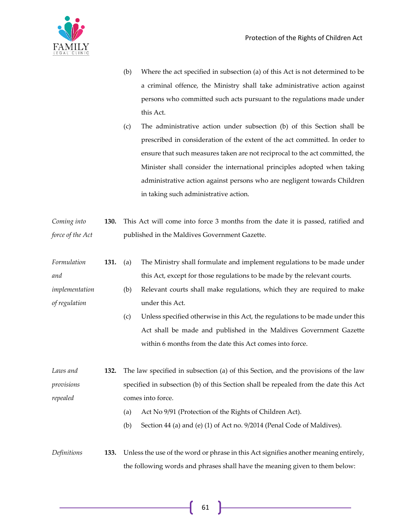

- (b) Where the act specified in subsection (a) of this Act is not determined to be a criminal offence, the Ministry shall take administrative action against persons who committed such acts pursuant to the regulations made under this Act.
- (c) The administrative action under subsection (b) of this Section shall be prescribed in consideration of the extent of the act committed. In order to ensure that such measures taken are not reciprocal to the act committed, the Minister shall consider the international principles adopted when taking administrative action against persons who are negligent towards Children in taking such administrative action.
- *Coming into force of the Act* **130.** This Act will come into force 3 months from the date it is passed, ratified and published in the Maldives Government Gazette.
- *Formulation and*  **131.** (a) The Ministry shall formulate and implement regulations to be made under this Act, except for those regulations to be made by the relevant courts.
- *implementation of regulation* (b) Relevant courts shall make regulations, which they are required to make under this Act.
	- (c) Unless specified otherwise in this Act, the regulations to be made under this Act shall be made and published in the Maldives Government Gazette within 6 months from the date this Act comes into force.

*Laws and provisions repealed* **132.** The law specified in subsection (a) of this Section, and the provisions of the law specified in subsection (b) of this Section shall be repealed from the date this Act comes into force.

- (a) Act No 9/91 (Protection of the Rights of Children Act).
- (b) Section 44 (a) and (e) (1) of Act no. 9/2014 (Penal Code of Maldives).
- *Definitions* **133.** Unless the use of the word or phrase in this Act signifies another meaning entirely, the following words and phrases shall have the meaning given to them below: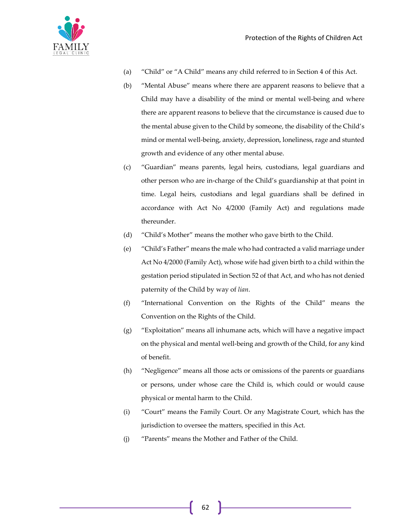

- (a) "Child" or "A Child" means any child referred to in Section 4 of this Act.
- (b) "Mental Abuse" means where there are apparent reasons to believe that a Child may have a disability of the mind or mental well-being and where there are apparent reasons to believe that the circumstance is caused due to the mental abuse given to the Child by someone, the disability of the Child's mind or mental well-being, anxiety, depression, loneliness, rage and stunted growth and evidence of any other mental abuse.
- (c) "Guardian" means parents, legal heirs, custodians, legal guardians and other person who are in-charge of the Child's guardianship at that point in time. Legal heirs, custodians and legal guardians shall be defined in accordance with Act No 4/2000 (Family Act) and regulations made thereunder.
- (d) "Child's Mother" means the mother who gave birth to the Child.
- (e) "Child's Father" means the male who had contracted a valid marriage under Act No 4/2000 (Family Act), whose wife had given birth to a child within the gestation period stipulated in Section 52 of that Act, and who has not denied paternity of the Child by way of *lian*.
- (f) "International Convention on the Rights of the Child" means the Convention on the Rights of the Child.
- (g) "Exploitation" means all inhumane acts, which will have a negative impact on the physical and mental well-being and growth of the Child, for any kind of benefit.
- (h) "Negligence" means all those acts or omissions of the parents or guardians or persons, under whose care the Child is, which could or would cause physical or mental harm to the Child.
- (i) "Court" means the Family Court. Or any Magistrate Court, which has the jurisdiction to oversee the matters, specified in this Act.
- (j) "Parents" means the Mother and Father of the Child.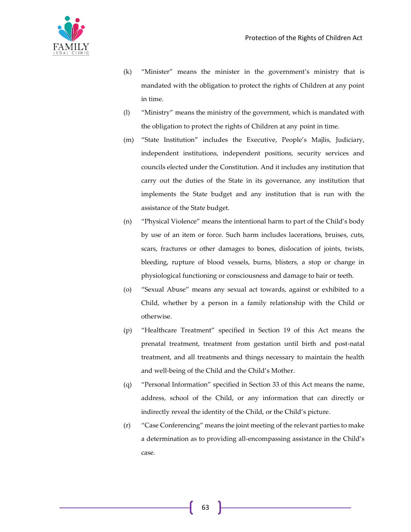

- (k) "Minister" means the minister in the government's ministry that is mandated with the obligation to protect the rights of Children at any point in time.
- (l) "Ministry" means the ministry of the government, which is mandated with the obligation to protect the rights of Children at any point in time.
- (m) "State Institution" includes the Executive, People's Majlis, Judiciary, independent institutions, independent positions, security services and councils elected under the Constitution. And it includes any institution that carry out the duties of the State in its governance, any institution that implements the State budget and any institution that is run with the assistance of the State budget.
- (n) "Physical Violence" means the intentional harm to part of the Child's body by use of an item or force. Such harm includes lacerations, bruises, cuts, scars, fractures or other damages to bones, dislocation of joints, twists, bleeding, rupture of blood vessels, burns, blisters, a stop or change in physiological functioning or consciousness and damage to hair or teeth.
- (o) "Sexual Abuse" means any sexual act towards, against or exhibited to a Child, whether by a person in a family relationship with the Child or otherwise.
- (p) "Healthcare Treatment" specified in Section 19 of this Act means the prenatal treatment, treatment from gestation until birth and post-natal treatment, and all treatments and things necessary to maintain the health and well-being of the Child and the Child's Mother.
- (q) "Personal Information" specified in Section 33 of this Act means the name, address, school of the Child, or any information that can directly or indirectly reveal the identity of the Child, or the Child's picture.
- (r) "Case Conferencing" means the joint meeting of the relevant parties to make a determination as to providing all-encompassing assistance in the Child's case.